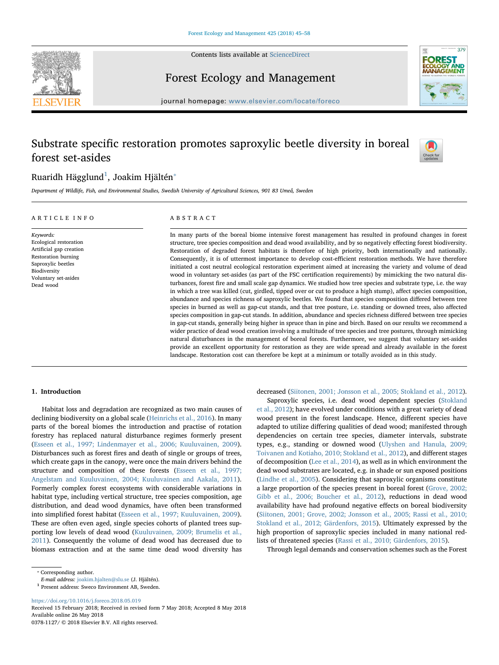Contents lists available at [ScienceDirect](http://www.sciencedirect.com/science/journal/03781127)





# Forest Ecology and Management

journal homepage: [www.elsevier.com/locate/foreco](https://www.elsevier.com/locate/foreco)

# Substrate specific restoration promotes saproxylic beetle diversity in boreal forest set-asides



## Ruaridh Hägglund $^1$  $^1$ , Joakim Hjältén $^\ast$

Department of Wildlife, Fish, and Environmental Studies, Swedish University of Agricultural Sciences, 901 83 Umeå, Sweden

#### ARTICLE INFO Keywords: Ecological restoration Artificial gap creation Restoration burning Saproxylic beetles Biodiversity Voluntary set-asides Dead wood ABSTRACT In many parts of the boreal biome intensive forest management has resulted in profound changes in forest structure, tree species composition and dead wood availability, and by so negatively effecting forest biodiversity. Restoration of degraded forest habitats is therefore of high priority, both internationally and nationally. Consequently, it is of uttermost importance to develop cost-efficient restoration methods. We have therefore initiated a cost neutral ecological restoration experiment aimed at increasing the variety and volume of dead wood in voluntary set-asides (as part of the FSC certification requirements) by mimicking the two natural disturbances, forest fire and small scale gap dynamics. We studied how tree species and substrate type, i.e. the way in which a tree was killed (cut, girdled, tipped over or cut to produce a high stump), affect species composition, abundance and species richness of saproxylic beetles. We found that species composition differed between tree species in burned as well as gap-cut stands, and that tree posture, i.e. standing or downed trees, also affected species composition in gap-cut stands. In addition, abundance and species richness differed between tree species in gap-cut stands, generally being higher in spruce than in pine and birch. Based on our results we recommend a wider practice of dead wood creation involving a multitude of tree species and tree postures, through mimicking natural disturbances in the management of boreal forests. Furthermore, we suggest that voluntary set-asides provide an excellent opportunity for restoration as they are wide spread and already available in the forest

#### 1. Introduction

Habitat loss and degradation are recognized as two main causes of declining biodiversity on a global scale [\(Heinrichs et al., 2016\)](#page-13-0). In many parts of the boreal biomes the introduction and practise of rotation forestry has replaced natural disturbance regimes formerly present ([Esseen et al., 1997; Lindenmayer et al., 2006; Kuuluvainen, 2009](#page-13-1)). Disturbances such as forest fires and death of single or groups of trees, which create gaps in the canopy, were once the main drivers behind the structure and composition of these forests ([Esseen et al., 1997;](#page-13-1) [Angelstam and Kuuluvainen, 2004; Kuuluvainen and Aakala, 2011](#page-13-1)). Formerly complex forest ecosystems with considerable variations in habitat type, including vertical structure, tree species composition, age distribution, and dead wood dynamics, have often been transformed into simplified forest habitat ([Esseen et al., 1997; Kuuluvainen, 2009](#page-13-1)). These are often even aged, single species cohorts of planted trees supporting low levels of dead wood ([Kuuluvainen, 2009; Brumelis et al.,](#page-13-2) [2011\)](#page-13-2). Consequently the volume of dead wood has decreased due to biomass extraction and at the same time dead wood diversity has

decreased ([Siitonen, 2001; Jonsson et al., 2005; Stokland et al., 2012](#page-13-3)).

landscape. Restoration cost can therefore be kept at a minimum or totally avoided as in this study.

Saproxylic species, i.e. dead wood dependent species ([Stokland](#page-13-4) [et al., 2012\)](#page-13-4); have evolved under conditions with a great variety of dead wood present in the forest landscape. Hence, different species have adapted to utilize differing qualities of dead wood; manifested through dependencies on certain tree species, diameter intervals, substrate types, e.g., standing or downed wood ([Ulyshen and Hanula, 2009;](#page-13-5) [Toivanen and Kotiaho, 2010; Stokland et al., 2012](#page-13-5)), and different stages of decomposition ([Lee et al., 2014](#page-13-6)), as well as in which environment the dead wood substrates are located, e.g. in shade or sun exposed positions ([Lindhe et al., 2005\)](#page-13-7). Considering that saproxylic organisms constitute a large proportion of the species present in boreal forest ([Grove, 2002;](#page-13-8) [Gibb et al., 2006; Boucher et al., 2012](#page-13-8)), reductions in dead wood availability have had profound negative effects on boreal biodiversity ([Siitonen, 2001; Grove, 2002; Jonsson et al., 2005; Rassi et al., 2010;](#page-13-3) [Stokland et al., 2012; Gärdenfors, 2015](#page-13-3)). Ultimately expressed by the high proportion of saproxylic species included in many national redlists of threatened species ([Rassi et al., 2010; Gärdenfors, 2015\)](#page-13-9).

Through legal demands and conservation schemes such as the Forest

<span id="page-0-0"></span><sup>1</sup> Present address: Sweco Environment AB, Sweden.

<https://doi.org/10.1016/j.foreco.2018.05.019>

Received 15 February 2018; Received in revised form 7 May 2018; Accepted 8 May 2018 Available online 26 May 2018 0378-1127/ © 2018 Elsevier B.V. All rights reserved.

<span id="page-0-1"></span><sup>⁎</sup> Corresponding author.

E-mail address: [joakim.hjalten@slu.se](mailto:joakim.hjalten@slu.se) (J. Hjältén).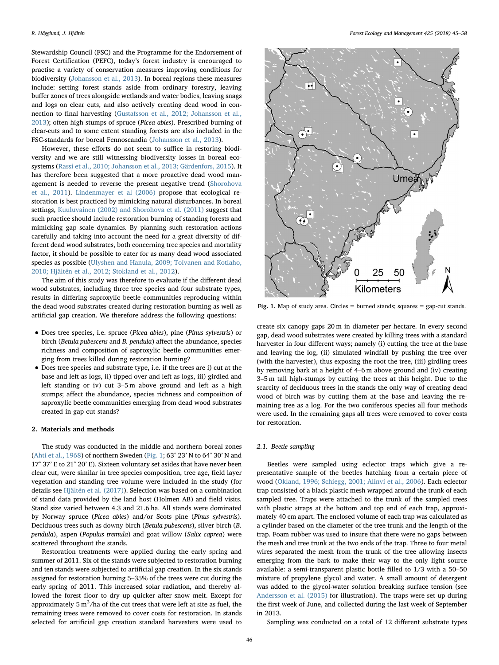Stewardship Council (FSC) and the Programme for the Endorsement of Forest Certification (PEFC), today's forest industry is encouraged to practise a variety of conservation measures improving conditions for biodiversity [\(Johansson et al., 2013\)](#page-13-10). In boreal regions these measures include: setting forest stands aside from ordinary forestry, leaving buffer zones of trees alongside wetlands and water bodies, leaving snags and logs on clear cuts, and also actively creating dead wood in connection to final harvesting ([Gustafsson et al., 2012; Johansson et al.,](#page-13-11) [2013\)](#page-13-11); often high stumps of spruce (Picea abies). Prescribed burning of clear-cuts and to some extent standing forests are also included in the FSC-standards for boreal Fennoscandia [\(Johansson et al., 2013](#page-13-10)).

However, these efforts do not seem to suffice in restoring biodiversity and we are still witnessing biodiversity losses in boreal ecosystems ([Rassi et al., 2010; Johansson et al., 2013; Gärdenfors, 2015](#page-13-9)). It has therefore been suggested that a more proactive dead wood management is needed to reverse the present negative trend ([Shorohova](#page-13-12) [et al., 2011](#page-13-12)). [Lindenmayer et al \(2006\)](#page-13-13) propose that ecological restoration is best practiced by mimicking natural disturbances. In boreal settings, [Kuuluvainen \(2002\) and Shorohova et al. \(2011\)](#page-13-14) suggest that such practice should include restoration burning of standing forests and mimicking gap scale dynamics. By planning such restoration actions carefully and taking into account the need for a great diversity of different dead wood substrates, both concerning tree species and mortality factor, it should be possible to cater for as many dead wood associated species as possible [\(Ulyshen and Hanula, 2009; Toivanen and Kotiaho,](#page-13-5) [2010; Hjältén et al., 2012; Stokland et al., 2012\)](#page-13-5).

The aim of this study was therefore to evaluate if the different dead wood substrates, including three tree species and four substrate types, results in differing saproxylic beetle communities reproducing within the dead wood substrates created during restoration burning as well as artificial gap creation. We therefore address the following questions:

- Does tree species, i.e. spruce (Picea abies), pine (Pinus sylvestris) or birch (Betula pubescens and B. pendula) affect the abundance, species richness and composition of saproxylic beetle communities emerging from trees killed during restoration burning?
- Does tree species and substrate type, i.e. if the trees are i) cut at the base and left as logs, ii) tipped over and left as logs, iii) girdled and left standing or iv) cut 3–5 m above ground and left as a high stumps; affect the abundance, species richness and composition of saproxylic beetle communities emerging from dead wood substrates created in gap cut stands?

#### 2. Materials and methods

The study was conducted in the middle and northern boreal zones ([Ahti et al., 1968\)](#page-12-0) of northern Sweden [\(Fig. 1;](#page-1-0) 63° 23' N to 64° 30' N and 17° 37' E to 21° 20' E). Sixteen voluntary set asides that have never been clear cut, were similar in tree species composition, tree age, field layer vegetation and standing tree volume were included in the study (for details see [Hjältén et al. \(2017\)\)](#page-13-15). Selection was based on a combination of stand data provided by the land host (Holmen AB) and field visits. Stand size varied between 4.3 and 21.6 ha. All stands were dominated by Norway spruce (Picea abies) and/or Scots pine (Pinus sylvestris). Deciduous trees such as downy birch (Betula pubescens), silver birch (B. pendula), aspen (Populus tremula) and goat willow (Salix caprea) were scattered throughout the stands.

Restoration treatments were applied during the early spring and summer of 2011. Six of the stands were subjected to restoration burning and ten stands were subjected to artificial gap creation. In the six stands assigned for restoration burning 5–35% of the trees were cut during the early spring of 2011. This increased solar radiation, and thereby allowed the forest floor to dry up quicker after snow melt. Except for approximately 5 m<sup>3</sup>/ha of the cut trees that were left at site as fuel, the remaining trees were removed to cover costs for restoration. In stands selected for artificial gap creation standard harvesters were used to

<span id="page-1-0"></span>

Fig. 1. Map of study area. Circles = burned stands; squares = gap-cut stands.

create six canopy gaps 20 m in diameter per hectare. In every second gap, dead wood substrates were created by killing trees with a standard harvester in four different ways; namely (i) cutting the tree at the base and leaving the log, (ii) simulated windfall by pushing the tree over (with the harvester), thus exposing the root the tree, (iii) girdling trees by removing bark at a height of 4–6 m above ground and (iv) creating 3–5 m tall high-stumps by cutting the trees at this height. Due to the scarcity of deciduous trees in the stands the only way of creating dead wood of birch was by cutting them at the base and leaving the remaining tree as a log. For the two coniferous species all four methods were used. In the remaining gaps all trees were removed to cover costs for restoration.

#### 2.1. Beetle sampling

Beetles were sampled using eclector traps which give a representative sample of the beetles hatching from a certain piece of wood [\(Okland, 1996; Schiegg, 2001; Alinvi et al., 2006\)](#page-13-16). Each eclector trap consisted of a black plastic mesh wrapped around the trunk of each sampled tree. Traps were attached to the trunk of the sampled trees with plastic straps at the bottom and top end of each trap, approximately 40 cm apart. The enclosed volume of each trap was calculated as a cylinder based on the diameter of the tree trunk and the length of the trap. Foam rubber was used to insure that there were no gaps between the mesh and tree trunk at the two ends of the trap. Three to four metal wires separated the mesh from the trunk of the tree allowing insects emerging from the bark to make their way to the only light source available: a semi-transparent plastic bottle filled to 1/3 with a 50–50 mixture of propylene glycol and water. A small amount of detergent was added to the glycol-water solution breaking surface tension (see [Andersson et al. \(2015\)](#page-12-1) for illustration). The traps were set up during the first week of June, and collected during the last week of September in 2013.

Sampling was conducted on a total of 12 different substrate types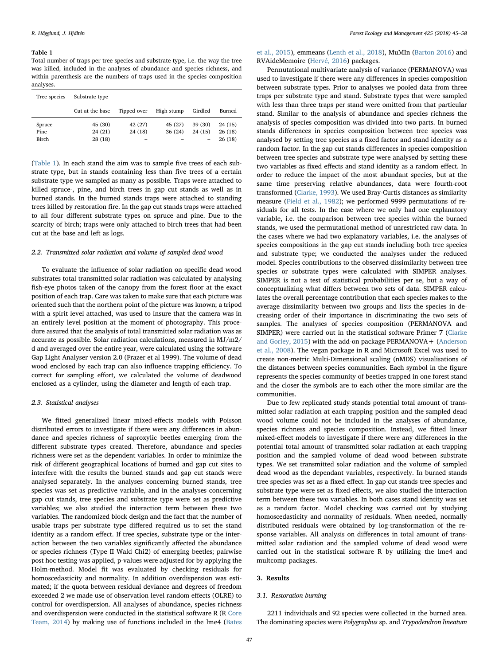<span id="page-2-0"></span>Total number of traps per tree species and substrate type, i.e. the way the tree was killed, included in the analyses of abundance and species richness, and within parenthesis are the numbers of traps used in the species composition analyses.

| Tree species   | Substrate type     |                   |                   |                   |                  |  |  |  |
|----------------|--------------------|-------------------|-------------------|-------------------|------------------|--|--|--|
|                | Cut at the base    | Tipped over       | High stump        | Girdled           | Burned           |  |  |  |
| Spruce<br>Pine | 45 (30)<br>24 (21) | 42 (27)<br>24(18) | 45 (27)<br>36(24) | 39 (30)<br>24(15) | 24(15)<br>26(18) |  |  |  |
| <b>Birch</b>   | 28(18)             |                   |                   |                   | 26(18)           |  |  |  |

([Table 1](#page-2-0)). In each stand the aim was to sample five trees of each substrate type, but in stands containing less than five trees of a certain substrate type we sampled as many as possible. Traps were attached to killed spruce-, pine, and birch trees in gap cut stands as well as in burned stands. In the burned stands traps were attached to standing trees killed by restoration fire. In the gap cut stands traps were attached to all four different substrate types on spruce and pine. Due to the scarcity of birch; traps were only attached to birch trees that had been cut at the base and left as logs.

#### 2.2. Transmitted solar radiation and volume of sampled dead wood

To evaluate the influence of solar radiation on specific dead wood substrates total transmitted solar radiation was calculated by analysing fish-eye photos taken of the canopy from the forest floor at the exact position of each trap. Care was taken to make sure that each picture was oriented such that the northern point of the picture was known; a tripod with a spirit level attached, was used to insure that the camera was in an entirely level position at the moment of photography. This procedure assured that the analysis of total transmitted solar radiation was as accurate as possible. Solar radiation calculations, measured in MJ/m2/ d and averaged over the entire year, were calculated using the software Gap Light Analyser version 2.0 (Frazer et al 1999). The volume of dead wood enclosed by each trap can also influence trapping efficiency. To correct for sampling effort, we calculated the volume of deadwood enclosed as a cylinder, using the diameter and length of each trap.

#### 2.3. Statistical analyses

We fitted generalized linear mixed-effects models with Poisson distributed errors to investigate if there were any differences in abundance and species richness of saproxylic beetles emerging from the different substrate types created. Therefore, abundance and species richness were set as the dependent variables. In order to minimize the risk of different geographical locations of burned and gap cut sites to interfere with the results the burned stands and gap cut stands were analysed separately. In the analyses concerning burned stands, tree species was set as predictive variable, and in the analyses concerning gap cut stands, tree species and substrate type were set as predictive variables; we also studied the interaction term between these two variables. The randomized block design and the fact that the number of usable traps per substrate type differed required us to set the stand identity as a random effect. If tree species, substrate type or the interaction between the two variables significantly affected the abundance or species richness (Type II Wald Chi2) of emerging beetles; pairwise post hoc testing was applied, p-values were adjusted for by applying the Holm-method. Model fit was evaluated by checking residuals for homoscedasticity and normality. In addition overdispersion was estimated; if the quota between residual deviance and degrees of freedom exceeded 2 we made use of observation level random effects (OLRE) to control for overdispersion. All analyses of abundance, species richness and overdispersion were conducted in the statistical software R (R [Core](#page-13-17) [Team, 2014](#page-13-17)) by making use of functions included in the lme4 [\(Bates](#page-12-2)

[et al., 2015](#page-12-2)), emmeans [\(Lenth et al., 2018](#page-13-18)), MuMIn [\(Barton 2016](#page-12-3)) and RVAideMemoire [\(Hervé, 2016](#page-13-19)) packages.

Permutational multivariate analysis of variance (PERMANOVA) was used to investigate if there were any differences in species composition between substrate types. Prior to analyses we pooled data from three traps per substrate type and stand. Substrate types that were sampled with less than three traps per stand were omitted from that particular stand. Similar to the analysis of abundance and species richness the analysis of species composition was divided into two parts. In burned stands differences in species composition between tree species was analysed by setting tree species as a fixed factor and stand identity as a random factor. In the gap cut stands differences in species composition between tree species and substrate type were analysed by setting these two variables as fixed effects and stand identity as a random effect. In order to reduce the impact of the most abundant species, but at the same time preserving relative abundances, data were fourth-root transformed ([Clarke, 1993\)](#page-13-20). We used Bray-Curtis distances as similarity measure [\(Field et al., 1982\)](#page-13-21); we performed 9999 permutations of residuals for all tests. In the case where we only had one explanatory variable, i.e. the comparison between tree species within the burned stands, we used the permutational method of unrestricted raw data. In the cases where we had two explanatory variables, i.e. the analyses of species compositions in the gap cut stands including both tree species and substrate type; we conducted the analyses under the reduced model. Species contributions to the observed dissimilarity between tree species or substrate types were calculated with SIMPER analyses. SIMPER is not a test of statistical probabilities per se, but a way of conceptualizing what differs between two sets of data. SIMPER calculates the overall percentage contribution that each species makes to the average dissimilarity between two groups and lists the species in decreasing order of their importance in discriminating the two sets of samples. The analyses of species composition (PERMANOVA and SIMPER) were carried out in the statistical software Primer 7 ([Clarke](#page-13-22) [and Gorley, 2015\)](#page-13-22) with the add-on package PERMANOVA+ [\(Anderson](#page-12-4) [et al., 2008](#page-12-4)). The vegan package in R and Microsoft Excel was used to create non-metric Multi-Dimensional scaling (nMDS) visualisations of the distances between species communities. Each symbol in the figure represents the species community of beetles trapped in one forest stand and the closer the symbols are to each other the more similar are the communities.

Due to few replicated study stands potential total amount of transmitted solar radiation at each trapping position and the sampled dead wood volume could not be included in the analyses of abundance, species richness and species composition. Instead, we fitted linear mixed-effect models to investigate if there were any differences in the potential total amount of transmitted solar radiation at each trapping position and the sampled volume of dead wood between substrate types. We set transmitted solar radiation and the volume of sampled dead wood as the dependant variables, respectively. In burned stands tree species was set as a fixed effect. In gap cut stands tree species and substrate type were set as fixed effects, we also studied the interaction term between these two variables. In both cases stand identity was set as a random factor. Model checking was carried out by studying homoscedasticity and normality of residuals. When needed, normally distributed residuals were obtained by log-transformation of the response variables. All analysis on differences in total amount of transmitted solar radiation and the sampled volume of dead wood were carried out in the statistical software R by utilizing the lme4 and multcomp packages.

#### 3. Results

#### 3.1. Restoration burning

2211 individuals and 92 species were collected in the burned area. The dominating species were Polygraphus sp. and Trypodendron lineatum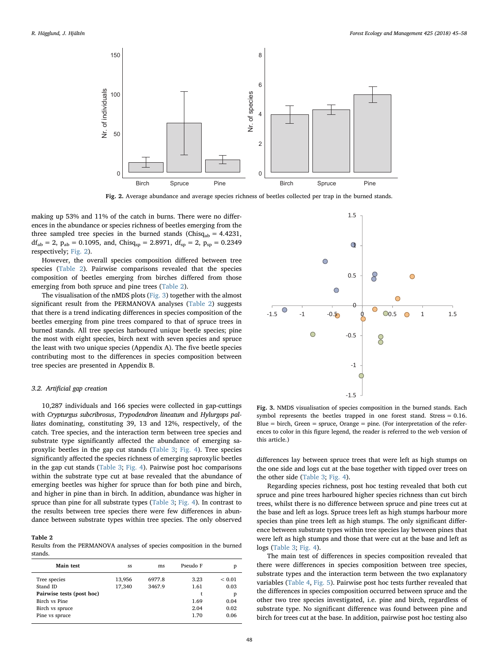<span id="page-3-0"></span>

Fig. 2. Average abundance and average species richness of beetles collected per trap in the burned stands.

making up 53% and 11% of the catch in burns. There were no differences in the abundance or species richness of beetles emerging from the three sampled tree species in the burned stands (Chisq<sub>ab</sub> =  $4.4231$ ,  $df_{ab} = 2$ ,  $p_{ab} = 0.1095$ , and,  $Chisq_{sp} = 2.8971$ ,  $df_{sp} = 2$ ,  $p_{sp} = 0.2349$ respectively; [Fig. 2\)](#page-3-0).

However, the overall species composition differed between tree species [\(Table 2](#page-3-1)). Pairwise comparisons revealed that the species composition of beetles emerging from birches differed from those emerging from both spruce and pine trees [\(Table 2\)](#page-3-1).

The visualisation of the nMDS plots ([Fig. 3](#page-3-2)) together with the almost significant result from the PERMANOVA analyses [\(Table 2](#page-3-1)) suggests that there is a trend indicating differences in species composition of the beetles emerging from pine trees compared to that of spruce trees in burned stands. All tree species harboured unique beetle species; pine the most with eight species, birch next with seven species and spruce the least with two unique species (Appendix A). The five beetle species contributing most to the differences in species composition between tree species are presented in Appendix B.

### 3.2. Artificial gap creation

10,287 individuals and 166 species were collected in gap-cuttings with Crypturgus subcribrosus, Trypodendron lineatum and Hylurgops palliates dominating, constituting 39, 13 and 12%, respectively, of the catch. Tree species, and the interaction term between tree species and substrate type significantly affected the abundance of emerging saproxylic beetles in the gap cut stands ([Table 3](#page-4-0); [Fig. 4](#page-5-0)). Tree species significantly affected the species richness of emerging saproxylic beetles in the gap cut stands ([Table 3](#page-4-0); [Fig. 4\)](#page-5-0). Pairwise post hoc comparisons within the substrate type cut at base revealed that the abundance of emerging beetles was higher for spruce than for both pine and birch, and higher in pine than in birch. In addition, abundance was higher in spruce than pine for all substrate types ([Table 3](#page-4-0); [Fig. 4](#page-5-0)). In contrast to the results between tree species there were few differences in abundance between substrate types within tree species. The only observed

#### <span id="page-3-1"></span>Table 2

Results from the PERMANOVA analyses of species composition in the burned stands.

| Main test                 | SS     | ms     | Pseudo F | p             |
|---------------------------|--------|--------|----------|---------------|
| Tree species              | 13,956 | 6977.8 | 3.23     | ${}_{< 0.01}$ |
| Stand ID                  | 17,340 | 3467.9 | 1.61     | 0.03          |
| Pairwise tests (post hoc) |        |        | t        | p             |
| Birch vs Pine             |        |        | 1.69     | 0.04          |
| Birch vs spruce           |        |        | 2.04     | 0.02          |
| Pine vs spruce            |        |        | 1.70     | 0.06          |

<span id="page-3-2"></span>

Fig. 3. NMDS visualisation of species composition in the burned stands. Each symbol represents the beetles trapped in one forest stand. Stress = 0.16. Blue  $=$  birch, Green  $=$  spruce, Orange  $=$  pine. (For interpretation of the references to color in this figure legend, the reader is referred to the web version of this article.)

differences lay between spruce trees that were left as high stumps on the one side and logs cut at the base together with tipped over trees on the other side [\(Table 3](#page-4-0); [Fig. 4](#page-5-0)).

Regarding species richness, post hoc testing revealed that both cut spruce and pine trees harboured higher species richness than cut birch trees, whilst there is no difference between spruce and pine trees cut at the base and left as logs. Spruce trees left as high stumps harbour more species than pine trees left as high stumps. The only significant difference between substrate types within tree species lay between pines that were left as high stumps and those that were cut at the base and left as logs [\(Table 3;](#page-4-0) [Fig. 4](#page-5-0)).

The main test of differences in species composition revealed that there were differences in species composition between tree species, substrate types and the interaction term between the two explanatory variables ([Table 4](#page-5-1), [Fig. 5\)](#page-5-2). Pairwise post hoc tests further revealed that the differences in species composition occurred between spruce and the other two tree species investigated, i.e. pine and birch, regardless of substrate type. No significant difference was found between pine and birch for trees cut at the base. In addition, pairwise post hoc testing also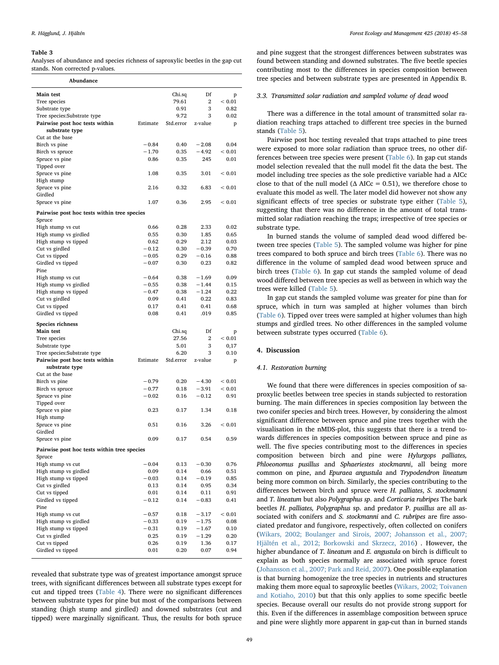<span id="page-4-0"></span>Analyses of abundance and species richness of saproxylic beetles in the gap cut stands. Non corrected p-values.

| Abundance                                             |                    |              |                    |                 |
|-------------------------------------------------------|--------------------|--------------|--------------------|-----------------|
| <b>Main test</b>                                      |                    | Chi.sq       | Df                 | p               |
| Tree species                                          |                    | 79.61        | 2                  | ${}< 0.01$      |
| Substrate type                                        |                    | 0.91         | 3                  | 0.82            |
| Tree species:Substrate type                           |                    | 9.72         | 3                  | 0.02            |
| Pairwise post hoc tests within<br>substrate type      | Estimate           | Std.error    | z-value            | p               |
| Cut at the base                                       |                    |              |                    |                 |
| Birch vs pine                                         | $-0.84$            | 0.40         | $-2.08$            | 0.04            |
| Birch vs spruce                                       | $-1.70$            | 0.35         | $-4.92$            | ${}< 0.01$      |
| Spruce vs pine                                        | 0.86               | 0.35         | 245                | 0.01            |
| Tipped over                                           |                    |              |                    |                 |
| Spruce vs pine                                        | 1.08               | 0.35         | 3.01               | < 0.01          |
| High stump                                            |                    |              |                    |                 |
| Spruce vs pine                                        | 2.16               | 0.32         | 6.83               | ${}< 0.01$      |
| Girdled                                               |                    |              |                    |                 |
| Spruce vs pine                                        | 1.07               | 0.36         | 2.95               | ${}< 0.01$      |
| Pairwise post hoc tests within tree species<br>Spruce |                    |              |                    |                 |
| High stump vs cut                                     | 0.66               | 0.28         | 2.33               | 0.02            |
| High stump vs girdled                                 | 0.55               | 0.30         | 1.85               | 0.65            |
| High stump vs tipped                                  | 0.62               | 0.29         | 2.12               | 0.03            |
| Cut vs girdled                                        | $-0.12$            | 0.30         | $-0.39$            | 0.70            |
| Cut vs tipped                                         | $-0.05$            | 0.29         | $-0.16$            | 0.88            |
| Girdled vs tipped                                     | $-0.07$            | 0.30         | 0.23               | 0.82            |
| Pine                                                  |                    |              |                    |                 |
| High stump vs cut                                     | $-0.64$            | 0.38         | $-1.69$            | 0.09            |
| High stump vs girdled                                 | $-0.55$            | 0.38         | $-1.44$            | 0.15            |
| High stump vs tipped                                  | $-0.47$            | 0.38         | $-1.24$            | 0.22            |
| Cut vs girdled                                        | 0.09               | 0.41         | 0.22               | 0.83            |
| Cut vs tipped                                         | 0.17               | 0.41         | 0.41               | 0.68            |
| Girdled vs tipped                                     | 0.08               | 0.41         | .019               | 0.85            |
| Species richness<br>Main test                         |                    | Chi.sq       | Df                 |                 |
| Tree species                                          |                    | 27.56        | 2                  | p<br>${}< 0.01$ |
| Substrate type                                        |                    | 5.01         | 3                  | 0,17            |
| Tree species:Substrate type                           |                    | 6.20         | 3                  | 0.10            |
| Pairwise post hoc tests within                        | Estimate           | Std.error    | z-value            | p               |
| substrate type                                        |                    |              |                    |                 |
| Cut at the base                                       |                    |              |                    |                 |
| Birch vs pine                                         | $-0.79$            | 0.20         | $-4.30$            | ${}< 0.01$      |
| Birch vs spruce                                       | $-0.77$            | 0.18         | $-3.91$            | ${}< 0.01$      |
| Spruce vs pine                                        | $-0.02$            | 0.16         | $-0.12$            | 0.91            |
| Tipped over<br>Spruce vs pine                         | 0.23               | 0.17         | 1.34               | 0.18            |
| High stump                                            |                    |              |                    |                 |
| Spruce vs pine                                        | 0.51               | 0.16         | 3.26               | ${}< 0.01$      |
| Girdled                                               |                    |              |                    |                 |
| Spruce vs pine                                        | 0.09               | 0.17         | 0.54               | 0.59            |
| Pairwise post hoc tests within tree species           |                    |              |                    |                 |
| Spruce                                                |                    |              |                    |                 |
| High stump vs cut                                     | $-0.04$            | 0.13         | $-0.30$            | 0.76            |
| High stump vs girdled                                 | 0.09               | 0.14         | 0.66               | 0.51            |
| High stump vs tipped                                  | $-0.03$            | 0.14         | $-0.19$            | 0.85            |
| Cut vs girdled                                        | 0.13               | 0.14         | 0.95               | 0.34            |
| Cut vs tipped                                         | 0.01               | 0.14         | 0.11               | 0.91            |
| Girdled vs tipped                                     | $-0.12$            | 0.14         | $-0.83$            | 0.41            |
| Pine                                                  |                    |              |                    |                 |
| High stump vs cut<br>High stump vs girdled            | $-0.57$            | 0.18         | $-3.17$            | ${}< 0.01$      |
| High stump vs tipped                                  | $-0.33$<br>$-0.31$ | 0.19<br>0.19 | $-1.75$<br>$-1.67$ | 0.08<br>0.10    |
| Cut vs girdled                                        | 0.25               | 0.19         | $-1.29$            | 0.20            |
| Cut vs tipped                                         | 0.26               | 0.19         | 1.36               | 0.17            |
| Girdled vs tipped                                     | 0.01               | 0.20         | 0.07               | 0.94            |
|                                                       |                    |              |                    |                 |

revealed that substrate type was of greatest importance amongst spruce trees, with significant differences between all substrate types except for cut and tipped trees ([Table 4\)](#page-5-1). There were no significant differences between substrate types for pine but most of the comparisons between standing (high stump and girdled) and downed substrates (cut and tipped) were marginally significant. Thus, the results for both spruce

and pine suggest that the strongest differences between substrates was found between standing and downed substrates. The five beetle species contributing most to the differences in species composition between tree species and between substrate types are presented in Appendix B.

#### 3.3. Transmitted solar radiation and sampled volume of dead wood

There was a difference in the total amount of transmitted solar radiation reaching traps attached to different tree species in the burned stands [\(Table 5](#page-5-3)).

Pairwise post hoc testing revealed that traps attached to pine trees were exposed to more solar radiation than spruce trees, no other differences between tree species were present ([Table 6](#page-6-0)). In gap cut stands model selection revealed that the null model fit the data the best. The model including tree species as the sole predictive variable had a AICc close to that of the null model ( $\Delta$  AICc = 0.51), we therefore chose to evaluate this model as well. The later model did however not show any significant effects of tree species or substrate type either ([Table 5](#page-5-3)), suggesting that there was no difference in the amount of total transmitted solar radiation reaching the traps; irrespective of tree species or substrate type.

In burned stands the volume of sampled dead wood differed between tree species [\(Table 5\)](#page-5-3). The sampled volume was higher for pine trees compared to both spruce and birch trees ([Table 6](#page-6-0)). There was no difference in the volume of sampled dead wood between spruce and birch trees [\(Table 6\)](#page-6-0). In gap cut stands the sampled volume of dead wood differed between tree species as well as between in which way the trees were killed [\(Table 5](#page-5-3)).

In gap cut stands the sampled volume was greater for pine than for spruce, which in turn was sampled at higher volumes than birch ([Table 6\)](#page-6-0). Tipped over trees were sampled at higher volumes than high stumps and girdled trees. No other differences in the sampled volume between substrate types occurred [\(Table 6\)](#page-6-0).

#### 4. Discussion

#### 4.1. Restoration burning

We found that there were differences in species composition of saproxylic beetles between tree species in stands subjected to restoration burning. The main differences in species composition lay between the two conifer species and birch trees. However, by considering the almost significant difference between spruce and pine trees together with the visualisation in the nMDS-plot, this suggests that there is a trend towards differences in species composition between spruce and pine as well. The five species contributing most to the differences in species composition between birch and pine were Hylurgops palliates, Phloeonomus pusillus and Sphaeriestes stockmanni, all being more common on pine, and Epuraea angustula and Trypodendron lineatum being more common on birch. Similarly, the species contributing to the differences between birch and spruce were H. palliates, S. stockmanni and T. lineatum but also Polygraphus sp. and Corticaria rubripes The bark beetles H. palliates, Polygraphus sp. and predator P. pusillus are all associated with conifers and S. stockmanni and C. rubripes are fire associated predator and fungivore, respectively, often collected on conifers ([Wikars, 2002; Boulanger and Sirois, 2007; Johansson et al., 2007;](#page-13-23) [Hjältén et al., 2012; Borkowski and Skrzecz, 2016](#page-13-23)) . However, the higher abundance of T. lineatum and E. angustula on birch is difficult to explain as both species normally are associated with spruce forest ([Johansson et al., 2007; Park and Reid, 2007\)](#page-13-24). One possible explanation is that burning homogenize the tree species in nutrients and structures making them more equal to saproxylic beetles ([Wikars, 2002; Toivanen](#page-13-23) [and Kotiaho, 2010\)](#page-13-23) but that this only applies to some specific beetle species. Because overall our results do not provide strong support for this. Even if the differences in assemblage composition between spruce and pine were slightly more apparent in gap-cut than in burned stands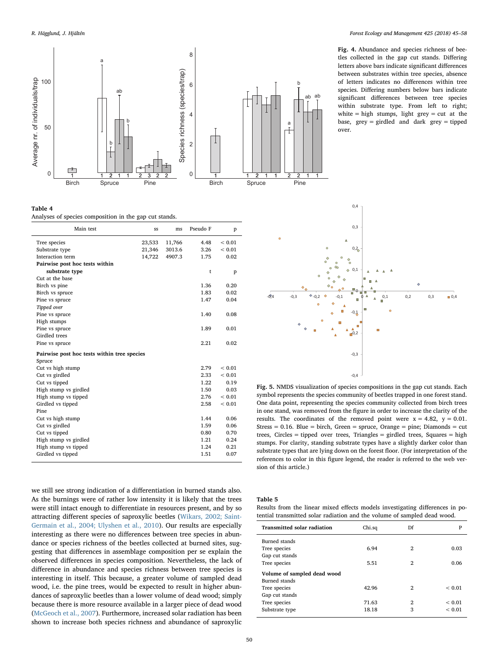<span id="page-5-0"></span>

<span id="page-5-1"></span>Analyses of species composition in the gap cut stands.

| Main test                                   | SS     | ms     | Pseudo F | p           |
|---------------------------------------------|--------|--------|----------|-------------|
| Tree species                                | 23,533 | 11,766 | 4.48     | ${}< 0.01$  |
| Substrate type                              | 21,346 | 3013.6 | 3.26     | ${}< 0.01$  |
| Interaction term                            | 14,722 | 4907.3 | 1.75     | 0.02        |
| Pairwise post hoc tests within              |        |        |          |             |
| substrate type                              |        |        | t        | p           |
| Cut at the base                             |        |        |          |             |
| Birch vs pine                               |        |        | 1.36     | 0.20        |
| Birch vs spruce                             |        |        | 1.83     | 0.02        |
| Pine vs spruce                              |        |        | 1.47     | 0.04        |
| Tipped over                                 |        |        |          |             |
| Pine vs spruce                              |        |        | 1.40     | 0.08        |
| High stumps                                 |        |        |          |             |
| Pine vs spruce                              |        |        | 1.89     | 0.01        |
| Girdled trees                               |        |        |          |             |
| Pine vs spruce                              |        |        | 2.21     | 0.02        |
| Pairwise post hoc tests within tree species |        |        |          |             |
| Spruce                                      |        |        |          |             |
| Cut vs high stump                           |        |        | 2.79     | ${}_{0.01}$ |
| Cut vs girdled                              |        |        | 2.33     | ${}< 0.01$  |
| Cut vs tipped                               |        |        | 1.22     | 0.19        |
| High stump vs girdled                       |        |        | 1.50     | 0.03        |
| High stump vs tipped                        |        |        | 2.76     | ${}< 0.01$  |
| Girdled vs tipped                           |        |        | 2.58     | ${}< 0.01$  |
| Pine                                        |        |        |          |             |
| Cut vs high stump                           |        |        | 1.44     | 0.06        |
| Cut vs girdled                              |        |        | 1.59     | 0.06        |
| Cut vs tipped                               |        |        | 0.80     | 0.70        |
| High stump vs girdled                       |        |        | 1.21     | 0.24        |
| High stump vs tipped                        |        |        | 1.24     | 0.21        |
| Girdled vs tipped                           |        |        | 1.51     | 0.07        |

we still see strong indication of a differentiation in burned stands also. As the burnings were of rather low intensity it is likely that the trees were still intact enough to differentiate in resources present, and by so attracting different species of saproxylic beetles [\(Wikars, 2002; Saint-](#page-13-23)[Germain et al., 2004; Ulyshen et al., 2010\)](#page-13-23). Our results are especially interesting as there were no differences between tree species in abundance or species richness of the beetles collected at burned sites, suggesting that differences in assemblage composition per se explain the observed differences in species composition. Nevertheless, the lack of difference in abundance and species richness between tree species is interesting in itself. This because, a greater volume of sampled dead wood, i.e. the pine trees, would be expected to result in higher abundances of saproxylic beetles than a lower volume of dead wood; simply because there is more resource available in a larger piece of dead wood ([McGeoch et al., 2007](#page-13-25)). Furthermore, increased solar radiation has been shown to increase both species richness and abundance of saproxylic

Fig. 4. Abundance and species richness of beetles collected in the gap cut stands. Differing letters above bars indicate significant differences between substrates within tree species, absence of letters indicates no differences within tree species. Differing numbers below bars indicate significant differences between tree species within substrate type. From left to right; white  $=$  high stumps, light grey  $=$  cut at the base,  $grey = girdled$  and dark  $grey = tipped$ over.

<span id="page-5-2"></span>

Fig. 5. NMDS visualization of species compositions in the gap cut stands. Each symbol represents the species community of beetles trapped in one forest stand. One data point, representing the species community collected from birch trees in one stand, was removed from the figure in order to increase the clarity of the results. The coordinates of the removed point were  $x = 4.82$ ,  $y = 0.01$ .  $Stress = 0.16$ . Blue = birch, Green = spruce, Orange = pine; Diamonds = cut trees, Circles = tipped over trees, Triangles = girdled trees, Squares = high stumps. For clarity, standing substrate types have a slightly darker color than substrate types that are lying down on the forest floor. (For interpretation of the references to color in this figure legend, the reader is referred to the web version of this article.)

<span id="page-5-3"></span>Table 5

Results from the linear mixed effects models investigating differences in potential transmitted solar radiation and the volume of sampled dead wood.

| <b>Transmitted solar radiation</b>           | Chi.sq | Df             | P           |
|----------------------------------------------|--------|----------------|-------------|
| Burned stands                                |        |                |             |
| Tree species                                 | 6.94   | 2              | 0.03        |
| Gap cut stands                               |        |                |             |
| Tree species                                 | 5.51   | 2              | 0.06        |
| Volume of sampled dead wood<br>Burned stands |        |                |             |
| Tree species                                 | 42.96  | 2              | ${}_{0.01}$ |
| Gap cut stands                               |        |                |             |
| Tree species                                 | 71.63  | $\overline{2}$ | ${}_{0.01}$ |
| Substrate type                               | 18.18  | 3              | ${}_{0.01}$ |
|                                              |        |                |             |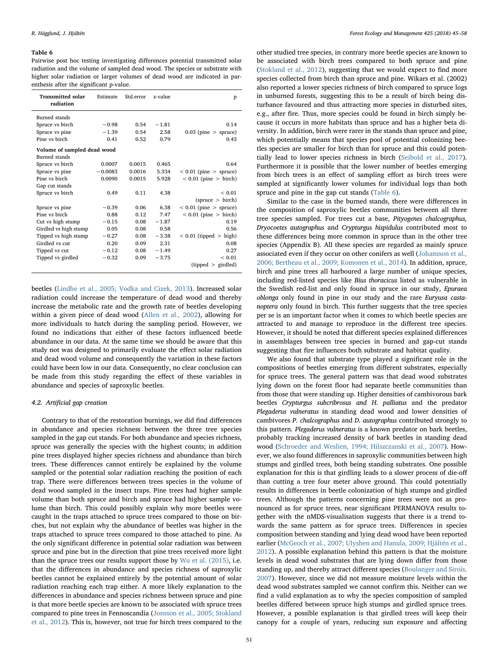<span id="page-6-0"></span>Pairwise post hoc testing investigating differences potential transmitted solar radiation and the volume of sampled dead wood. The species or substrate with higher solar radiation or larger volumes of dead wood are indicated in parenthesis after the significant p-value.

| <b>Transmitted solar</b><br>radiation | Estimate  | Std.error | z-value | p                          |
|---------------------------------------|-----------|-----------|---------|----------------------------|
| Burned stands                         |           |           |         |                            |
| Spruce vs birch                       | $-0.98$   | 0.54      | $-1.81$ | 0.14                       |
| Spruce vs pine                        | $-1.39$   | 0.54      | 2.58    | $0.03$ (pine $>$ spruce)   |
| Pine vs birch                         | 0.41      | 0.52      | 0.79    | 0.43                       |
| Volume of sampled dead wood           |           |           |         |                            |
| Burned stands                         |           |           |         |                            |
| Spruce vs birch                       | 0.0007    | 0.0015    | 0.465   | 0.64                       |
| Spruce vs pine                        | $-0.0083$ | 0.0016    | 5.334   | $< 0.01$ (pine $>$ spruce) |
| Pine vs birch                         | 0.0090    | 0.0015    | 5.928   | $< 0.01$ (pine $>$ birch)  |
| Gap cut stands                        |           |           |         |                            |
| Spruce vs birch                       | 0.49      | 0.11      | 4.38    | ${}_{0.01}$                |
|                                       |           |           |         | (spruce > birch)           |
| Spruce vs pine                        | $-0.39$   | 0.06      | 6.38    | $< 0.01$ (pine $>$ spruce) |
| Pine vs birch                         | 0.88      | 0.12      | 7.47    | $< 0.01$ (pine $>$ birch)  |
| Cut vs high stump                     | $-0.15$   | 0.08      | $-1.87$ | 0.19                       |
| Girdled vs high stump                 | 0.05      | 0.08      | 0.58    | 0.56                       |
| Tipped vs high stump                  | $-0.27$   | 0.08      | $-3.38$ | $< 0.01$ (tipped $>$ high) |
| Girdled vs cut                        | 0.20      | 0.09      | 2.31    | 0.08                       |
| Tipped vs cut                         | $-0.12$   | 0.08      | $-1.49$ | 0.27                       |
| Tipped vs girdled                     | $-0.32$   | 0.09      | $-3.75$ | ${}_{< 0.01}$              |
|                                       |           |           |         | (tipped > girdled)         |

beetles [\(Lindhe et al., 2005; Vodka and Cizek, 2013\)](#page-13-7). Increased solar radiation could increase the temperature of dead wood and thereby increase the metabolic rate and the growth rate of beetles developing within a given piece of dead wood [\(Allen et al., 2002](#page-12-5)), allowing for more individuals to hatch during the sampling period. However, we found no indications that either of these factors influenced beetle abundance in our data. At the same time we should be aware that this study not was designed to primarily evaluate the effect solar radiation and dead wood volume and consequently the variation in these factors could have been low in our data. Consequently, no clear conclusion can be made from this study regarding the effect of these variables in abundance and species of saproxylic beetles.

#### 4.2. Artificial gap creation

Contrary to that of the restoration burnings, we did find differences in abundance and species richness between the three tree species sampled in the gap cut stands. For both abundance and species richness, spruce was generally the species with the highest counts; in addition pine trees displayed higher species richness and abundance than birch trees. These differences cannot entirely be explained by the volume sampled or the potential solar radiation reaching the position of each trap. There were differences between trees species in the volume of dead wood sampled in the insect traps. Pine trees had higher sample volume than both spruce and birch and spruce had higher sample volume than birch. This could possibly explain why more beetles were caught in the traps attached to spruce trees compared to those on birches, but not explain why the abundance of beetles was higher in the traps attached to spruce trees compared to those attached to pine. As the only significant difference in potential solar radiation was between spruce and pine but in the direction that pine trees received more light than the spruce trees our results support those by  $Wu$  et al. (2015), i.e. that the differences in abundance and species richness of saproxylic beetles cannot be explained entirely by the potential amount of solar radiation reaching each trap either. A more likely explanation to the differences in abundance and species richness between spruce and pine is that more beetle species are known to be associated with spruce trees compared to pine trees in Fennoscandia [\(Jonsson et al., 2005; Stokland](#page-13-27) [et al., 2012\)](#page-13-27). This is, however, not true for birch trees compared to the

other studied tree species, in contrary more beetle species are known to be associated with birch trees compared to both spruce and pine ([Stokland et al., 2012](#page-13-4)), suggesting that we would expect to find more species collected from birch than spruce and pine. Wikars et al. (2002) also reported a lower species richness of birch compared to spruce logs in unburned forests, suggesting this to be a result of birch being disturbance favoured and thus attracting more species in disturbed sites, e.g., after fire. Thus, more species could be found in birch simply because it occurs in more habitats than spruce and has a higher beta diversity. In addition, birch were rarer in the stands than spruce and pine, which potentially means that species pool of potential colonizing beetles species are smaller for birch than for spruce and this could potentially lead to lower species richness in birch [\(Seibold et al., 2017](#page-13-28)). Furthermore it is possible that the lower number of beetles emerging from birch trees is an effect of sampling effort as birch trees were sampled at significantly lower volumes for individual logs than both spruce and pine in the gap cut stands ([Table 6\)](#page-6-0).

Similar to the case in the burned stands, there were differences in the composition of saproxylic beetles communities between all three tree species sampled. For trees cut a base, Pityogenes chalcographus, Dryocoetes autographus and Crypturgus hispidulus contributed most to these differences being more common in spruce than in the other tree species (Appendix B). All these species are regarded as mainly spruce associated even if they occur on other conifers as well ([Johansson et al.,](#page-13-29) [2006; Bertheau et al., 2009; Komonen et al., 2014](#page-13-29)). In addition, spruce, birch and pine trees all harboured a large number of unique species, including red-listed species like Bius thoracicus listed as vulnerable in the Swedish red-list and only found in spruce in our study, Epuraea oblonga only found in pine in our study and the rare Euryusa castanoptera only found in birch. This further suggests that the tree species per se is an important factor when it comes to which beetle species are attracted to and manage to reproduce in the different tree species. However, it should be noted that different species explained differences in assemblages between tree species in burned and gap-cut stands suggesting that fire influences both substrate and habitat quality.

We also found that substrate type played a significant role in the compositions of beetles emerging from different substrates, especially for spruce trees. The general pattern was that dead wood substrates lying down on the forest floor had separate beetle communities than from those that were standing up. Higher densities of cambivorous bark beetles Crypturgus subcribrosus and H. palliatus and the predator Plegaderus vulneratus in standing dead wood and lower densities of cambivores P. chalcographus and D. autographus contributed strongly to this pattern. Plegaderus vulneratus is a known predator on bark beetles, probably tracking increased density of bark beetles in standing dead wood ([Schroeder and Weslien, 1994; Hilszczanski et al., 2007](#page-13-30)). However, we also found differences in saproxylic communities between high stumps and girdled trees, both being standing substrates. One possible explanation for this is that girdling leads to a slower process of die-off than cutting a tree four meter above ground. This could potentially results in differences in beetle colonization of high stumps and girdled trees. Although the patterns concerning pine trees were not as pronounced as for spruce trees, near significant PERMANOVA results together with the nMDS-visualisation suggests that there is a trend towards the same pattern as for spruce trees. Differences in species composition between standing and lying dead wood have been reported earlier [\(McGeoch et al., 2007; Ulyshen and Hanula, 2009; Hjältén et al.,](#page-13-25) [2012\)](#page-13-25). A possible explanation behind this pattern is that the moisture levels in dead wood substrates that are lying down differ from those standing up, and thereby attract different species (Boulanger [and Sirois,](#page-13-31) [2007\)](#page-13-31). However, since we did not measure moisture levels within the dead wood substrates sampled we cannot confirm this. Neither can we find a valid explanation as to why the species composition of sampled beetles differed between spruce high stumps and girdled spruce trees. However, a possible explanation is that girdled trees will keep their canopy for a couple of years, reducing sun exposure and affecting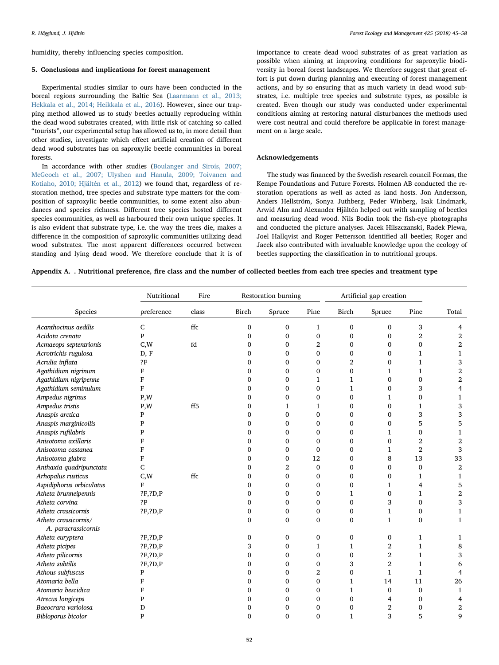humidity, thereby influencing species composition.

#### 5. Conclusions and implications for forest management

Experimental studies similar to ours have been conducted in the boreal regions surrounding the Baltic Sea [\(Laarmann et al., 2013;](#page-13-32) [Hekkala et al., 2014; Heikkala et al., 2016](#page-13-32)). However, since our trapping method allowed us to study beetles actually reproducing within the dead wood substrates created, with little risk of catching so called "tourists", our experimental setup has allowed us to, in more detail than other studies, investigate which effect artificial creation of different dead wood substrates has on saproxylic beetle communities in boreal forests.

In accordance with other studies [\(Boulanger and Sirois, 2007;](#page-13-31) [McGeoch et al., 2007; Ulyshen and Hanula, 2009; Toivanen and](#page-13-31) [Kotiaho, 2010; Hjältén et al., 2012](#page-13-31)) we found that, regardless of restoration method, tree species and substrate type matters for the composition of saproxylic beetle communities, to some extent also abundances and species richness. Different tree species hosted different species communities, as well as harboured their own unique species. It is also evident that substrate type, i.e. the way the trees die, makes a difference in the composition of saproxylic communities utilizing dead wood substrates. The most apparent differences occurred between standing and lying dead wood. We therefore conclude that it is of importance to create dead wood substrates of as great variation as possible when aiming at improving conditions for saproxylic biodiversity in boreal forest landscapes. We therefore suggest that great effort is put down during planning and executing of forest management actions, and by so ensuring that as much variety in dead wood substrates, i.e. multiple tree species and substrate types, as possible is created. Even though our study was conducted under experimental conditions aiming at restoring natural disturbances the methods used were cost neutral and could therefore be applicable in forest management on a large scale.

#### Acknowledgements

The study was financed by the Swedish research council Formas, the Kempe Foundations and Future Forests. Holmen AB conducted the restoration operations as well as acted as land hosts. Jon Andersson, Anders Hellström, Sonya Juthberg, Peder Winberg, Isak Lindmark, Arwid Alm and Alexander Hjältén helped out with sampling of beetles and measuring dead wood. Nils Bodin took the fish-eye photographs and conducted the picture analyses. Jacek Hilszczanski, Radek Plewa, Joel Hallqvist and Roger Pettersson identified all beetles; Roger and Jacek also contributed with invaluable knowledge upon the ecology of beetles supporting the classification in to nutritional groups.

#### Appendix A. . Nutritional preference, fire class and the number of collected beetles from each tree species and treatment type

|                          | Nutritional       | Fire            |              | Restoration burning |                  |                | Artificial gap creation |                |                         |
|--------------------------|-------------------|-----------------|--------------|---------------------|------------------|----------------|-------------------------|----------------|-------------------------|
| Species                  | preference        | class           | Birch        | Spruce              | Pine             | <b>Birch</b>   | Spruce                  | Pine           | Total                   |
| Acanthocinus aedilis     | C                 | ffc             | 0            | $\boldsymbol{0}$    | $\mathbf{1}$     | 0              | $\boldsymbol{0}$        | 3              | 4                       |
| Acidota crenata          | P                 |                 | 0            | $\boldsymbol{0}$    | $\boldsymbol{0}$ | 0              | $\boldsymbol{0}$        | $\overline{2}$ | $\overline{2}$          |
| Acmaeops septentrionis   | C,W               | fd              | $\mathbf{0}$ | $\mathbf{0}$        | $\overline{2}$   | $\mathbf{0}$   | $\mathbf 0$             | $\mathbf{0}$   | $\overline{2}$          |
| Acrotrichis rugulosa     | D, F              |                 | $\mathbf{0}$ | $\boldsymbol{0}$    | $\mathbf{0}$     | $\mathbf{0}$   | $\mathbf 0$             | $\mathbf{1}$   | $\mathbf{1}$            |
| Acrulia inflata          | 2F                |                 | 0            | $\boldsymbol{0}$    | 0                | $\overline{2}$ | 0                       | $\mathbf{1}$   | 3                       |
| Agathidium nigrinum      | F                 |                 | $\mathbf{0}$ | $\mathbf{0}$        | $\mathbf{0}$     | $\mathbf{0}$   | $\mathbf{1}$            | $\mathbf{1}$   | $\overline{2}$          |
| Agathidium nigripenne    | F                 |                 | $\mathbf{0}$ | $\mathbf{0}$        | $\mathbf{1}$     | $\mathbf{1}$   | $\mathbf{0}$            | $\mathbf{0}$   | $\overline{\mathbf{2}}$ |
| Agathidium seminulum     | F                 |                 | $\mathbf 0$  | $\mathbf{0}$        | $\mathbf{0}$     | $\mathbf{1}$   | $\mathbf 0$             | 3              | 4                       |
| Ampedus nigrinus         | P,W               |                 | $\mathbf{0}$ | $\boldsymbol{0}$    | $\mathbf{0}$     | $\mathbf 0$    | 1                       | $\mathbf{0}$   | $\mathbf{1}$            |
| Ampedus tristis          | P,W               | ff <sub>5</sub> | $\mathbf{0}$ | $\mathbf{1}$        | $\mathbf{1}$     | $\mathbf 0$    | $\mathbf 0$             | $\mathbf{1}$   | 3                       |
| Anaspis arctica          | P                 |                 | $\mathbf 0$  | $\mathbf 0$         | $\mathbf{0}$     | $\mathbf 0$    | $\mathbf 0$             | 3              | 3                       |
| Anaspis marginicollis    | P                 |                 | $\mathbf{0}$ | $\boldsymbol{0}$    | $\mathbf{0}$     | $\mathbf 0$    | $\mathbf 0$             | 5              | 5                       |
| Anaspis rufilabris       | P                 |                 | $\Omega$     | $\mathbf{0}$        | $\Omega$         | $\theta$       | $\mathbf{1}$            | $\Omega$       | $\mathbf{1}$            |
| Anisotoma axillaris      | F                 |                 | $\mathbf{0}$ | $\mathbf{0}$        | $\mathbf{0}$     | $\mathbf{0}$   | $\mathbf{0}$            | $\overline{2}$ | $\overline{2}$          |
| Anisotoma castanea       | F                 |                 | $\mathbf 0$  | $\boldsymbol{0}$    | $\mathbf{0}$     | $\mathbf{0}$   | 1                       | $\overline{2}$ | 3                       |
| Anisotoma glabra         | F                 |                 | $\mathbf{0}$ | $\mathbf{0}$        | 12               | $\theta$       | 8                       | 13             | 33                      |
| Anthaxia quadripunctata  | C                 |                 | $\Omega$     | $\overline{2}$      | $\Omega$         | $\theta$       | $\theta$                | $\mathbf{0}$   | $\boldsymbol{2}$        |
| Arhopalus rusticus       | C,W               | ffc             | $\mathbf 0$  | $\boldsymbol{0}$    | $\mathbf{0}$     | $\mathbf{0}$   | $\mathbf{0}$            | $\mathbf{1}$   | $\mathbf{1}$            |
| Aspidiphorus orbiculatus | F                 |                 | $\mathbf{0}$ | $\boldsymbol{0}$    | $\mathbf{0}$     | $\mathbf{0}$   | $\mathbf{1}$            | 4              | 5                       |
| Atheta brunneipennis     | ?F, ?D, P         |                 | $\mathbf{0}$ | $\mathbf{0}$        | $\mathbf{0}$     | 1              | $\mathbf{0}$            | $\mathbf{1}$   | $\overline{2}$          |
| Atheta corvina           | 2P                |                 | 0            | $\boldsymbol{0}$    | $\mathbf{0}$     | $\mathbf{0}$   | 3                       | $\mathbf{0}$   | 3                       |
| Atheta crassicornis      | $?F$ , $?D$ , $P$ |                 | 0            | $\boldsymbol{0}$    | $\boldsymbol{0}$ | 0              | $\mathbf{1}$            | $\mathbf{0}$   | $\mathbf{1}$            |
| Atheta crassicornis/     |                   |                 | $\mathbf{0}$ | $\mathbf{0}$        | $\mathbf{0}$     | $\mathbf{0}$   | $\mathbf{1}$            | $\Omega$       | $\mathbf{1}$            |
| A. paracrassicornis      |                   |                 |              |                     |                  |                |                         |                |                         |
| Atheta euryptera         | $?F$ , $?D$ , $P$ |                 | 0            | $\boldsymbol{0}$    | 0                | 0              | 0                       | $\mathbf{1}$   | 1                       |
| Atheta picipes           | $?F$ , $?D$ , $P$ |                 | 3            | $\mathbf{0}$        | $\mathbf{1}$     | $\mathbf{1}$   | $\overline{2}$          | $\mathbf{1}$   | 8                       |
| Atheta pilicornis        | $?F$ , $?D$ , $P$ |                 | $\mathbf{0}$ | $\mathbf{0}$        | $\mathbf{0}$     | $\mathbf{0}$   | $\overline{2}$          | $\mathbf{1}$   | 3                       |
| Atheta subtilis          | ?F, ?D, P         |                 | $\mathbf 0$  | $\boldsymbol{0}$    | $\mathbf{0}$     | 3              | $\overline{2}$          | $\mathbf{1}$   | 6                       |
| Athous subfuscus         | P                 |                 | $\mathbf{0}$ | $\mathbf{0}$        | $\overline{2}$   | $\mathbf 0$    | $\mathbf{1}$            | $\mathbf{1}$   | $\overline{4}$          |
| Atomaria bella           | F                 |                 | $\mathbf{0}$ | $\mathbf{0}$        | $\mathbf{0}$     | 1              | 14                      | 11             | 26                      |
| Atomaria bescidica       | F                 |                 | $\mathbf 0$  | $\boldsymbol{0}$    | $\mathbf{0}$     | 1              | $\boldsymbol{0}$        | $\mathbf{0}$   | $\mathbf{1}$            |
| Atrecus longiceps        | P                 |                 | $\mathbf{0}$ | $\boldsymbol{0}$    | $\mathbf{0}$     | $\mathbf 0$    | 4                       | $\mathbf{0}$   | 4                       |
| Baeocrara variolosa      | D                 |                 | $\mathbf{0}$ | $\mathbf{0}$        | $\mathbf{0}$     | $\mathbf 0$    | $\overline{2}$          | $\mathbf{0}$   | $\,2$                   |
| Bibloporus bicolor       | P                 |                 | $\Omega$     | $\mathbf{0}$        | $\theta$         | 1              | 3                       | 5              | 9                       |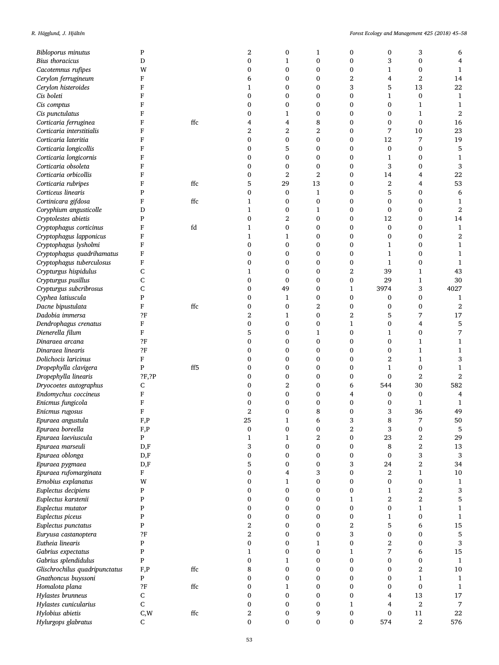| Bibloporus minutus             | P            |                 | 2                | 0                | 1                | 0                | $\boldsymbol{0}$ | 3                | 6              |
|--------------------------------|--------------|-----------------|------------------|------------------|------------------|------------------|------------------|------------------|----------------|
| <b>Bius</b> thoracicus         | D            |                 | $\mathbf{0}$     | $\mathbf{1}$     | $\boldsymbol{0}$ | $\bf{0}$         | 3                | $\mathbf{0}$     | 4              |
| Cacotemnus rufipes             | W            |                 | $\mathbf{0}$     | 0                | $\mathbf{0}$     | $\bf{0}$         | $\mathbf{1}$     | $\mathbf{0}$     | 1              |
| Cerylon ferrugineum            | F            |                 | 6                | 0                | $\mathbf{0}$     | 2                | 4                | $\overline{2}$   | 14             |
| Cerylon histeroides            | F            |                 | 1                | 0                | $\boldsymbol{0}$ | 3                | 5                | 13               | 22             |
| Cis boleti                     | F            |                 | $\mathbf{0}$     | 0                | $\mathbf{0}$     | 0                | $\mathbf{1}$     | $\boldsymbol{0}$ | $\mathbf{1}$   |
| Cis comptus                    | F            |                 | $\mathbf{0}$     | 0                | $\boldsymbol{0}$ | $\mathbf 0$      | 0                | 1                | 1              |
| Cis punctulatus                | F            |                 | $\mathbf{0}$     | 1                | $\mathbf{0}$     | $\mathbf 0$      | $\mathbf{0}$     | $\mathbf{1}$     | $\overline{2}$ |
| Corticaria ferruginea          | F            | ffc             | 4                | 4                | 8                | 0                | 0                | $\boldsymbol{0}$ | 16             |
| Corticaria interstitialis      | F            |                 | 2                | 2                | $\overline{2}$   | $\mathbf 0$      | 7                | 10               | 23             |
| Corticaria lateritia           | F            |                 | $\mathbf{0}$     | 0                | $\mathbf{0}$     | $\mathbf 0$      | 12               | 7                | 19             |
| Corticaria longicollis         | F            |                 | $\mathbf{0}$     | 5                | $\mathbf{0}$     | $\mathbf 0$      | $\mathbf{0}$     | $\mathbf{0}$     | 5              |
| Corticaria longicornis         | F            |                 | 0                | 0                | $\boldsymbol{0}$ | 0                | 1                | $\mathbf{0}$     | 1              |
| Corticaria obsoleta            | F            |                 | $\mathbf{0}$     | 0                | $\boldsymbol{0}$ | $\bf{0}$         | 3                | $\mathbf{0}$     | 3              |
| Corticaria orbicollis          | F            |                 | $\mathbf{0}$     | 2                | $\overline{2}$   | $\mathbf 0$      | 14               | 4                | 22             |
| Corticaria rubripes            | F            | ffc             | 5                | 29               | 13               | $\bf{0}$         | 2                | 4                | 53             |
| Corticeus linearis             | P            |                 | 0                | $\boldsymbol{0}$ | $\mathbf{1}$     | 0                | 5                | $\bf{0}$         | 6              |
| Cortinicara gifdosa            | F            | ffc             | $\mathbf{1}$     | 0                | $\mathbf{0}$     | $\bf{0}$         | $\mathbf 0$      | $\mathbf{0}$     | $\mathbf{1}$   |
| Coryphium angusticolle         | D            |                 | 1                | 0                | 1                | $\mathbf 0$      | $\mathbf{0}$     | $\mathbf{0}$     | $\overline{2}$ |
| Cryptolestes abietis           | P            |                 | $\mathbf{0}$     | 2                | $\boldsymbol{0}$ | $\bf{0}$         | 12               | $\mathbf{0}$     | 14             |
| Cryptophagus corticinus        | F            | fd              | 1                | 0                | $\boldsymbol{0}$ | 0                | $\boldsymbol{0}$ | $\mathbf{0}$     | $\mathbf{1}$   |
| Cryptophagus lapponicus        | F            |                 | $\mathbf{1}$     | 1                | $\boldsymbol{0}$ | $\bf{0}$         | $\boldsymbol{0}$ | $\mathbf{0}$     | $\overline{2}$ |
| Cryptophagus lysholmi          | F            |                 | $\mathbf{0}$     | 0                | $\boldsymbol{0}$ | 0                | 1                | $\mathbf{0}$     | $\mathbf{1}$   |
| Cryptophagus quadrihamatus     | F            |                 | 0                | 0                | $\boldsymbol{0}$ | $\bf{0}$         | 1                | $\mathbf{0}$     | $\mathbf{1}$   |
| Cryptophagus tuberculosus      | F            |                 | $\bf{0}$         | 0                | $\boldsymbol{0}$ | $\bf{0}$         | $\mathbf{1}$     | $\mathbf 0$      | $\mathbf{1}$   |
| Crypturgus hispidulus          | C            |                 | $\mathbf{1}$     | 0                | $\boldsymbol{0}$ | $\overline{2}$   | 39               | $\mathbf{1}$     | 43             |
| Crypturgus pusillus            | C            |                 | $\mathbf{0}$     | $\mathbf{0}$     | $\boldsymbol{0}$ | $\bf{0}$         | 29               | $\mathbf{1}$     | 30             |
| Crypturgus subcribrosus        | C            |                 | $\bf{0}$         | 49               | $\boldsymbol{0}$ | $\mathbf{1}$     | 3974             | 3                | 4027           |
| Cyphea latiuscula              | P            |                 | $\bf{0}$         | 1                | $\boldsymbol{0}$ | $\bf{0}$         | $\boldsymbol{0}$ | $\mathbf{0}$     | 1              |
| Dacne bipustulata              | F            | ffc             | $\bf{0}$         | $\boldsymbol{0}$ | $\overline{2}$   | $\bf{0}$         | $\boldsymbol{0}$ | $\bf{0}$         | $\overline{2}$ |
| Dadobia immersa                | 2F           |                 | 2                | 1                | $\mathbf{0}$     | 2                | 5                | 7                | 17             |
| Dendrophagus crenatus          | F            |                 | $\bf{0}$         | 0                | $\boldsymbol{0}$ | 1                | $\bf{0}$         | 4                | 5              |
| Dienerella filum               | F            |                 | 5                | 0                | $\mathbf{1}$     | $\bf{0}$         | 1                | $\mathbf{0}$     | 7              |
| Dinaraea arcana                | 2F           |                 | $\mathbf{0}$     | 0                | $\mathbf{0}$     | $\mathbf{0}$     | 0                | $\mathbf{1}$     | $\mathbf{1}$   |
| Dinaraea linearis              | 2F           |                 | $\mathbf{0}$     | 0                | $\mathbf{0}$     | $\mathbf 0$      | $\mathbf 0$      | $\mathbf{1}$     | $\mathbf{1}$   |
| Dolichocis laricinus           | F            |                 | 0                | 0                | $\boldsymbol{0}$ | 0                | 2                | $\mathbf{1}$     | 3              |
| Dropephylla clavigera          | P            | ff <sub>5</sub> | $\mathbf{0}$     | 0                | $\boldsymbol{0}$ | $\mathbf 0$      | 1                | $\mathbf{0}$     | $\mathbf{1}$   |
| Dropephylla linearis           | $?F$ , $?P$  |                 | $\mathbf{0}$     | 0                | $\boldsymbol{0}$ | $\bf{0}$         | $\mathbf 0$      | $\overline{2}$   | $\overline{2}$ |
| Dryocoetes autographus         | C            |                 | $\mathbf{0}$     | 2                | $\mathbf{0}$     | 6                | 544              | 30               | 582            |
| Endomychus coccineus           | F            |                 | 0                | 0                | $\boldsymbol{0}$ | 4                | 0                | $\boldsymbol{0}$ | 4              |
| Enicmus fungicola              | F            |                 | $\mathbf{0}$     | 0                | $\mathbf{0}$     | 0                | $\bf{0}$         | $\mathbf{1}$     | $\mathbf{1}$   |
| Enicmus rugosus                | F            |                 | $\overline{2}$   | 0                | 8                | $\mathbf{0}$     | 3                | 36               | 49             |
| Epuraea angustula              | F.P          |                 | 25               | 1                | 6                | 3                | 8                | 7                | 50             |
| Epuraea boreella               | F, P         |                 | 0                | 0                | $\boldsymbol{0}$ | 2                | 3                | $\boldsymbol{0}$ | 5              |
| Epuraea laeviuscula            | $\mathbf{P}$ |                 | $\mathbf{1}$     | $\mathbf{1}$     | $\overline{2}$   | $\bf{0}$         | 23               | 2                | 29             |
| Epuraea marseuli               | D,F          |                 | 3                | 0                | $\boldsymbol{0}$ | $\bf{0}$         | 8                | 2                | 13             |
| Epuraea oblonga                | D,F          |                 | $\mathbf{0}$     | 0                | $\boldsymbol{0}$ | 0                | $\mathbf{0}$     | 3                | 3              |
| Epuraea pygmaea                | D,F          |                 | 5                | 0                | $\boldsymbol{0}$ | 3                | 24               | $\overline{2}$   | 34             |
| Epuraea rufomarginata          | F            |                 | $\mathbf{0}$     | 4                | 3                | 0                | 2                | $\mathbf{1}$     | 10             |
| Ernobius explanatus            | W            |                 | $\bf{0}$         | 1                | $\bf{0}$         | 0                | $\boldsymbol{0}$ | $\bf{0}$         | $\mathbf{1}$   |
| Euplectus decipiens            | P            |                 | $\mathbf{0}$     | 0                | $\boldsymbol{0}$ | $\mathbf 0$      | 1                | 2                | 3              |
| Euplectus karstenii            | P            |                 | 0                | 0                | $\bf{0}$         | 1                | $\overline{2}$   | $\overline{2}$   | 5              |
| Euplectus mutator              | P            |                 | $\bf{0}$         | 0                | $\boldsymbol{0}$ | $\boldsymbol{0}$ | $\bf{0}$         | $\mathbf{1}$     | $\mathbf{1}$   |
| Euplectus piceus               | P            |                 | 0                | 0                | $\boldsymbol{0}$ | 0                | $\mathbf{1}$     | $\bf{0}$         | $\mathbf{1}$   |
| Euplectus punctatus            | P            |                 | 2                | 0                | $\boldsymbol{0}$ | 2                | 5                | 6                | 15             |
| Euryusa castanoptera           | 2F           |                 | $\overline{2}$   | 0                | $\boldsymbol{0}$ | 3                | $\bf{0}$         | $\bf{0}$         | 5              |
| Eutheia linearis               | P            |                 | $\bf{0}$         | 0                | $\mathbf{1}$     | $\boldsymbol{0}$ | $\boldsymbol{2}$ | $\mathbf{0}$     | 3              |
| Gabrius expectatus             | P            |                 | 1                | 0                | $\boldsymbol{0}$ | 1                | 7                | 6                | 15             |
| Gabrius splendidulus           | P            |                 | 0                | 1                | $\boldsymbol{0}$ | $\boldsymbol{0}$ | 0                | $\bf{0}$         | 1              |
| Glischrochilus quadripunctatus | F, P         | ffc             | 8                | 0                | $\bf{0}$         | 0                | 0                | 2                | 10             |
| Gnathoncus buyssoni            | P            |                 | 0                | 0                | $\boldsymbol{0}$ | 0                | 0                | $\mathbf{1}$     | $\mathbf{1}$   |
| Homalota plana                 | 2F           | ffc             | 0                | 1                | $\boldsymbol{0}$ | $\mathbf{0}$     | 0                | $\mathbf{0}$     | 1              |
| Hylastes brunneus              | C            |                 | 0                | 0                | $\boldsymbol{0}$ | $\bf{0}$         | 4                | 13               | 17             |
| Hylastes cunicularius          | C            |                 | $\bf{0}$         | 0                | $\boldsymbol{0}$ | 1                | 4                | $\overline{2}$   | 7              |
| Hylobius abietis               | C,W          | ffc             | $\boldsymbol{2}$ | 0                | 9                | $\bf{0}$         | $\boldsymbol{0}$ | 11               | $22\,$         |
| Hylurgops glabratus            | C            |                 | $\boldsymbol{0}$ | 0                | $\boldsymbol{0}$ | 0                | 574              | 2                | 576            |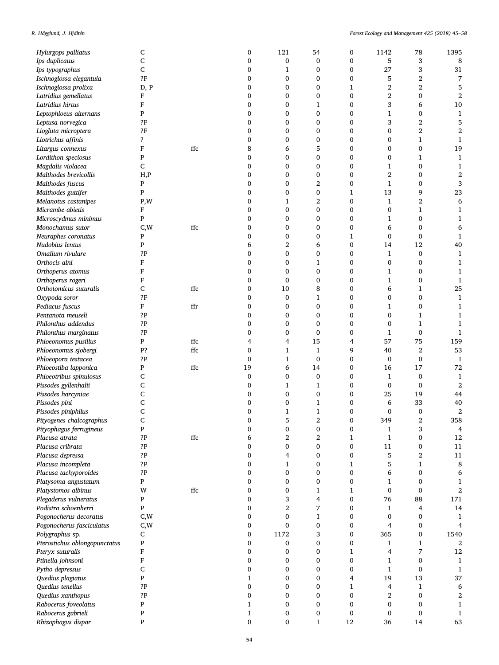| Hylurgops palliatus           | C         |     | 0                | 121              | 54               | $\boldsymbol{0}$ | 1142             | 78               | 1395             |
|-------------------------------|-----------|-----|------------------|------------------|------------------|------------------|------------------|------------------|------------------|
| Ips duplicatus                | C         |     | $\boldsymbol{0}$ | $\boldsymbol{0}$ | 0                | $\bf{0}$         | 5                | 3                | 8                |
|                               |           |     |                  |                  |                  |                  | 27               |                  |                  |
| Ips typographus               | C         |     | $\boldsymbol{0}$ | $\mathbf{1}$     | 0                | $\bf{0}$         |                  | 3                | 31               |
| Ischnoglossa elegantula       | ?F        |     | $\boldsymbol{0}$ | $\mathbf{0}$     | $\mathbf{0}$     | $\mathbf{0}$     | 5                | $\overline{2}$   | 7                |
| Ischnoglossa prolixa          | D, P      |     | $\boldsymbol{0}$ | $\boldsymbol{0}$ | 0                | 1                | $\overline{2}$   | $\boldsymbol{2}$ | 5                |
| Latridius gemellatus          | F         |     | $\boldsymbol{0}$ | $\mathbf 0$      | 0                | 0                | 2                | $\mathbf{0}$     | $\boldsymbol{2}$ |
| Latridius hirtus              | F         |     | $\mathbf{0}$     | $\boldsymbol{0}$ | $\mathbf{1}$     | $\mathbf{0}$     | 3                | 6                | 10               |
| Leptophloeus alternans        | P         |     | $\mathbf{0}$     | $\mathbf 0$      | 0                | $\mathbf{0}$     | 1                | $\mathbf{0}$     | $\mathbf{1}$     |
| Leptusa norvegica             | 2F        |     | 0                | $\boldsymbol{0}$ | 0                | $\bf{0}$         | 3                | $\overline{2}$   | 5                |
| Liogluta microptera           | ?F        |     | 0                | $\mathbf 0$      | 0                | 0                | $\mathbf{0}$     | $\boldsymbol{2}$ | $\,2$            |
| Liotrichus affinis            | ?         |     | $\boldsymbol{0}$ | 0                | 0                | $\mathbf{0}$     | $\mathbf 0$      | $\mathbf{1}$     | $\mathbf{1}$     |
| Litargus connexus             | F         | ffc | 8                | 6                | 5                | 0                | $\mathbf 0$      | $\mathbf{0}$     | 19               |
| Lordithon speciosus           | P         |     | $\boldsymbol{0}$ | $\boldsymbol{0}$ | 0                | $\bf{0}$         | $\bf{0}$         | 1                | $\mathbf{1}$     |
| Magdalis violacea             | C         |     | $\boldsymbol{0}$ | 0                | 0                | $\bf{0}$         | 1                | $\boldsymbol{0}$ | $\mathbf{1}$     |
| Malthodes brevicollis         |           |     | $\boldsymbol{0}$ | $\boldsymbol{0}$ | 0                | $\mathbf{0}$     | $\overline{2}$   | $\boldsymbol{0}$ | $\boldsymbol{2}$ |
|                               | H, P      |     |                  |                  |                  |                  |                  |                  |                  |
| Malthodes fuscus              | P         |     | $\bf{0}$         | $\boldsymbol{0}$ | $\overline{2}$   | $\mathbf{0}$     | 1                | $\mathbf{0}$     | 3                |
| Malthodes guttifer            | P         |     | 0                | $\boldsymbol{0}$ | $\bf{0}$         | 1                | 13               | 9                | 23               |
| Melanotus castanipes          | P,W       |     | 0                | $\mathbf{1}$     | $\overline{2}$   | $\bf{0}$         | 1                | $\boldsymbol{2}$ | 6                |
| Micrambe abietis              | F         |     | $\mathbf{0}$     | $\boldsymbol{0}$ | 0                | $\mathbf{0}$     | $\mathbf 0$      | $\mathbf{1}$     | $\mathbf{1}$     |
| Microscydmus minimus          | P         |     | $\bf{0}$         | $\mathbf 0$      | $\mathbf{0}$     | $\mathbf{0}$     | 1                | $\mathbf{0}$     | $\mathbf{1}$     |
| Monochamus sutor              | C,W       | ffc | 0                | $\boldsymbol{0}$ | 0                | $\bf{0}$         | 6                | $\boldsymbol{0}$ | 6                |
| Neuraphes coronatus           | P         |     | 0                | 0                | 0                | $\mathbf{1}$     | $\mathbf{0}$     | $\mathbf{0}$     | $\mathbf{1}$     |
| Nudobius lentus               | P         |     | 6                | 2                | 6                | $\bf{0}$         | 14               | 12               | 40               |
| Omalium rivulare              | ?P        |     | $\mathbf{0}$     | $\boldsymbol{0}$ | 0                | 0                | 1                | $\boldsymbol{0}$ | 1                |
| Orthocis alni                 | F         |     | 0                | $\boldsymbol{0}$ | $\mathbf{1}$     | $\bf{0}$         | $\bf{0}$         | $\boldsymbol{0}$ | $\mathbf{1}$     |
| Orthoperus atomus             | F         |     | $\mathbf{0}$     | $\bf{0}$         | 0                | 0                | 1                | $\boldsymbol{0}$ | $\mathbf{1}$     |
|                               |           |     |                  |                  |                  |                  |                  |                  |                  |
| Orthoperus rogeri             | F         |     | 0                | $\mathbf{0}$     | 0                | 0                | 1                | $\boldsymbol{0}$ | $\mathbf{1}$     |
| Orthotomicus suturalis        | C         | ffc | 0                | 10               | 8                | 0                | 6                | 1                | 25               |
| Oxypoda soror                 | ?F        |     | 0                | $\boldsymbol{0}$ | $\mathbf{1}$     | $\bf{0}$         | $\bf{0}$         | $\mathbf{0}$     | $\mathbf{1}$     |
| Pediacus fuscus               | F         | ffr | 0                | $\boldsymbol{0}$ | 0                | 0                | 1                | $\boldsymbol{0}$ | $\mathbf{1}$     |
| Pentanota meuseli             | ?P        |     | $\mathbf{0}$     | $\boldsymbol{0}$ | 0                | $\mathbf 0$      | $\mathbf{0}$     | 1                | 1                |
| Philonthus addendus           | ?P        |     | $\mathbf{0}$     | $\boldsymbol{0}$ | 0                | $\bf{0}$         | $\mathbf{0}$     | $\mathbf{1}$     | 1                |
| Philonthus marginatus         | ?P        |     | 0                | 0                | 0                | 0                | $\mathbf{1}$     | $\mathbf{0}$     | $\mathbf{1}$     |
| Phloeonomus pusillus          | P         | ffc | 4                | 4                | 15               | 4                | 57               | 75               | 159              |
| Phloeonomus sjobergi          | P?        | ffc | $\mathbf{0}$     | 1                | $\mathbf{1}$     | 9                | 40               | $\overline{2}$   | 53               |
| Phloeopora testacea           | ?P        |     | $\boldsymbol{0}$ | $\mathbf{1}$     | $\boldsymbol{0}$ | 0                | $\mathbf{0}$     | $\boldsymbol{0}$ | $\mathbf{1}$     |
| Phloeostiba lapponica         | P         | ffc | 19               | 6                | 14               | 0                | 16               | 17               | 72               |
| Phloeotribus spinulosus       | C         |     | $\boldsymbol{0}$ | $\boldsymbol{0}$ | 0                | 0                | 1                | $\boldsymbol{0}$ | $\mathbf{1}$     |
|                               |           |     |                  |                  |                  | $\mathbf{0}$     |                  |                  | $\overline{2}$   |
| Pissodes gyllenhalii          | C         |     | $\boldsymbol{0}$ | 1                | $\mathbf{1}$     |                  | $\mathbf 0$      | $\mathbf{0}$     |                  |
| Pissodes harcyniae            | C         |     | 0                | $\boldsymbol{0}$ | 0                | 0                | 25               | 19               | 44               |
| Pissodes pini                 | C         |     | 0                | $\boldsymbol{0}$ | $\mathbf{1}$     | 0                | 6                | 33               | 40               |
| Pissodes piniphilus           | C         |     | $\mathbf{0}$     | 1                | $\mathbf{1}$     | 0                | $\bf{0}$         | $\mathbf{0}$     | $\boldsymbol{2}$ |
| Pityogenes chalcographus      |           |     | $\Omega$         | 5                | $\mathfrak{D}$   | $\Omega$         | 349              | $\overline{2}$   | 358              |
| Pityophagus ferrugineus       | P         |     | $\boldsymbol{0}$ | $\boldsymbol{0}$ | 0                | $\boldsymbol{0}$ | $\mathbf{1}$     | 3                | 4                |
| Placusa atrata                | 2P        | ffc | 6                | 2                | $\overline{2}$   | $\mathbf{1}$     | $\mathbf{1}$     | $\boldsymbol{0}$ | 12               |
| Placusa cribrata              | ?P        |     | $\mathbf{0}$     | 0                | 0                | $\bf{0}$         | 11               | $\boldsymbol{0}$ | $11\,$           |
| Placusa depressa              | ?P        |     | $\boldsymbol{0}$ | 4                | 0                | $\bf{0}$         | 5                | $\overline{2}$   | 11               |
| Placusa incompleta            | ?P        |     | $\boldsymbol{0}$ | 1                | 0                | 1                | 5                | $\mathbf{1}$     | 8                |
| Placusa tachyporoides         | ?P        |     | $\boldsymbol{0}$ | $\bf{0}$         | 0                | $\bf{0}$         | 6                | $\boldsymbol{0}$ | 6                |
| Platysoma angustatum          | P         |     | $\boldsymbol{0}$ | $\bf{0}$         | 0                | $\bf{0}$         | 1                | $\boldsymbol{0}$ | 1                |
|                               |           |     |                  | $\mathbf{0}$     |                  |                  | $\mathbf{0}$     | $\mathbf{0}$     |                  |
| Platystomos albinus           | W         | ffc | $\boldsymbol{0}$ |                  | $\mathbf{1}$     | 1                |                  |                  | 2                |
| Plegaderus vulneratus         | P         |     | $\boldsymbol{0}$ | 3                | 4                | $\bf{0}$         | 76               | 88               | 171              |
| Podistra schoenherri          | ${\bf P}$ |     | $\mathbf{0}$     | 2                | 7                | $\bf{0}$         | 1                | 4                | 14               |
| Pogonocherus decoratus        | C,W       |     | $\boldsymbol{0}$ | $\mathbf 0$      | $\mathbf{1}$     | $\mathbf{0}$     | $\mathbf 0$      | 0                | 1                |
| Pogonocherus fasciculatus     | C,W       |     | $\boldsymbol{0}$ | $\mathbf{0}$     | 0                | $\bf{0}$         | 4                | 0                | 4                |
| Polygraphus sp.               | C         |     | 0                | 1172             | 3                | $\bf{0}$         | 365              | $\mathbf 0$      | 1540             |
| Pterostichus oblongopunctatus | P         |     | 0                | 0                | 0                | $\bf{0}$         | 1                | 1                | 2                |
| Pteryx suturalis              | F         |     | $\boldsymbol{0}$ | 0                | 0                | 1                | 4                | 7                | 12               |
| Ptinella johnsoni             | F         |     | 0                | $\mathbf{0}$     | $\mathbf{0}$     | $\mathbf{0}$     | 1                | $\boldsymbol{0}$ | 1                |
| Pytho depressus               | C         |     | 0                | 0                | 0                | $\mathbf{0}$     | $\mathbf{1}$     | $\mathbf 0$      | 1                |
| Quedius plagiatus             | P         |     | $\mathbf{1}$     | 0                | $\mathbf{0}$     | 4                | 19               | 13               | 37               |
| Quedius tenellus              | ?P        |     | $\mathbf{0}$     | 0                | $\mathbf{0}$     | 1                | 4                | 1                | 6                |
|                               | ?P        |     | $\mathbf{0}$     | $\bf{0}$         | 0                | $\bf{0}$         | 2                | $\mathbf{0}$     | 2                |
| Quedius xanthopus             |           |     |                  |                  |                  |                  |                  |                  |                  |
| Rabocerus foveolatus          | ${\bf P}$ |     | 1                | $\bf{0}$         | 0                | $\bf{0}$         | 0                | $\boldsymbol{0}$ | $\mathbf{1}$     |
| Rabocerus gabrieli            | P         |     | $\mathbf{1}$     | $\bf{0}$         | $\bf{0}$         | $\bf{0}$         | $\boldsymbol{0}$ | $\boldsymbol{0}$ | 1                |
| Rhizophagus dispar            | P         |     | $\boldsymbol{0}$ | $\bf{0}$         | $\mathbf{1}$     | 12               | 36               | 14               | 63               |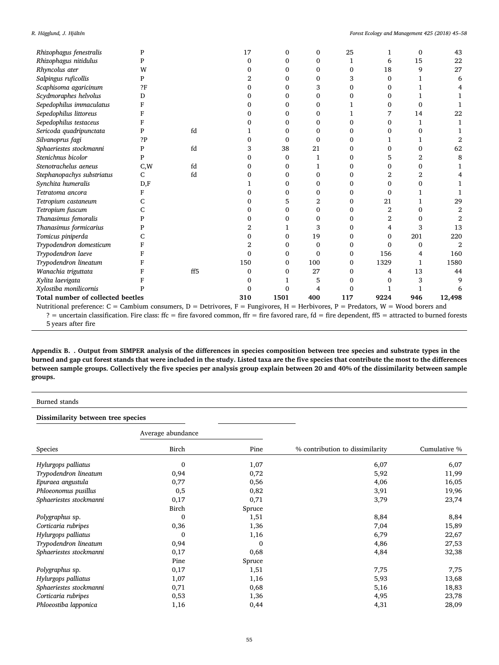| Rhizophagus fenestralis                                                                                                                       |      |                 | 17  |      | 0              | 25  |      | 0              | 43     |
|-----------------------------------------------------------------------------------------------------------------------------------------------|------|-----------------|-----|------|----------------|-----|------|----------------|--------|
| Rhizophagus nitidulus                                                                                                                         |      |                 | 0   |      | 0              |     | 6    | 15             | 22     |
| Rhyncolus ater                                                                                                                                | w    |                 | 0   |      | $\Omega$       | 0   | 18   | 9              | 27     |
| Salpingus ruficollis                                                                                                                          |      |                 |     |      | 0              | 3   | 0    |                | 6      |
| Scaphisoma agaricinum                                                                                                                         | ?F   |                 |     |      | 3              | 0   |      |                |        |
| Scydmoraphes helvolus                                                                                                                         |      |                 |     |      | 0              | o   |      |                |        |
| Sepedophilus immaculatus                                                                                                                      |      |                 |     |      | 0              |     |      | 0              |        |
| Sepedophilus littoreus                                                                                                                        |      |                 | O   |      | 0              |     |      | 14             | 22     |
| Sepedophilus testaceus                                                                                                                        |      |                 |     |      | 0              |     |      |                |        |
| Sericoda quadripunctata                                                                                                                       |      | fd              |     |      | 0              | O   |      | O              |        |
| Silvanoprus fagi                                                                                                                              | ?P   |                 |     |      | 0              | 0   |      |                |        |
| Sphaeriestes stockmanni                                                                                                                       |      | fd              |     | 38   | 21             | 0   |      | 0              | 62     |
| Stenichnus bicolor                                                                                                                            |      |                 |     |      |                | 0   |      | $\overline{2}$ | 8      |
| Stenotrachelus aeneus                                                                                                                         | C,W  | fd              | 0   |      |                | 0   |      | 0              |        |
| Stephanopachys substriatus                                                                                                                    |      | fd              | O   |      | 0              | n   |      | 2              |        |
| Synchita humeralis                                                                                                                            | D, F |                 |     |      | $\Omega$       | 0   |      | O              |        |
| Tetratoma ancora                                                                                                                              |      |                 | U   |      | 0              | n   |      |                |        |
| Tetropium castaneum                                                                                                                           |      |                 | 0   |      | $\overline{2}$ | 0   | 21   |                | 29     |
| Tetropium fuscum                                                                                                                              |      |                 |     |      | 0              | O   |      | O              | 2      |
| Thanasimus femoralis                                                                                                                          |      |                 |     |      | $\Omega$       | 0   |      | O              |        |
| Thanasimus formicarius                                                                                                                        |      |                 |     |      | 3              | o   |      | 3              | 13     |
| Tomicus piniperda                                                                                                                             |      |                 |     |      | 19             |     |      | 201            | 220    |
| Trypodendron domesticum                                                                                                                       |      |                 |     |      | $\Omega$       | o   |      | 0              |        |
| Trypodendron laeve                                                                                                                            |      |                 |     |      | $\mathbf{0}$   | 0   | 156  |                | 160    |
| Trypodendron lineatum                                                                                                                         |      |                 | 150 |      | 100            | 0   | 1329 |                | 1580   |
| Wanachia triguttata                                                                                                                           |      | ff <sub>5</sub> | 0   |      | 27             | 0   |      | 13             | 44     |
| Xylita laevigata                                                                                                                              |      |                 |     |      | 5              | O   | 0    | 3              | q      |
| Xylostiba monilicornis                                                                                                                        |      |                 | 0   |      | 4              | 0   |      |                |        |
| Total number of collected beetles                                                                                                             |      |                 | 310 | 1501 | 400            | 117 | 9224 | 946            | 12,498 |
| Nutritional preference: $C =$ Cambium consumers, $D =$ Detrivores, $F =$ Fungivores, $H =$ Herbivores, $P =$ Predators, $W =$ Wood borers and |      |                 |     |      |                |     |      |                |        |

? = uncertain classification. Fire class: ffc = fire favored common, ffr = fire favored rare, fd = fire dependent, ff5 = attracted to burned forests 5 years after fire

Appendix B. . Output from SIMPER analysis of the differences in species composition between tree species and substrate types in the burned and gap cut forest stands that were included in the study. Listed taxa are the five species that contribute the most to the differences between sample groups. Collectively the five species per analysis group explain between 20 and 40% of the dissimilarity between sample groups.

#### Burned stands

#### Dissimilarity between tree species

|                         | Average abundance |          |                                 |              |
|-------------------------|-------------------|----------|---------------------------------|--------------|
| <b>Species</b>          | Birch             | Pine     | % contribution to dissimilarity | Cumulative % |
| Hylurgops palliatus     | $\Omega$          | 1,07     | 6,07                            | 6,07         |
| Trypodendron lineatum   | 0,94              | 0,72     | 5,92                            | 11,99        |
| Epuraea angustula       | 0,77              | 0,56     | 4,06                            | 16,05        |
| Phloeonomus pusillus    | 0,5               | 0,82     | 3,91                            | 19,96        |
| Sphaeriestes stockmanni | 0,17              | 0,71     | 3,79                            | 23,74        |
|                         | Birch             | Spruce   |                                 |              |
| Polygraphus sp.         | $\mathbf{0}$      | 1,51     | 8,84                            | 8,84         |
| Corticaria rubripes     | 0,36              | 1,36     | 7,04                            | 15,89        |
| Hylurgops palliatus     | $\Omega$          | 1,16     | 6,79                            | 22,67        |
| Trypodendron lineatum   | 0,94              | $\bf{0}$ | 4,86                            | 27,53        |
| Sphaeriestes stockmanni | 0,17              | 0,68     | 4,84                            | 32,38        |
|                         | Pine              | Spruce   |                                 |              |
| Polygraphus sp.         | 0,17              | 1,51     | 7,75                            | 7,75         |
| Hylurgops palliatus     | 1,07              | 1,16     | 5,93                            | 13,68        |
| Sphaeriestes stockmanni | 0,71              | 0,68     | 5,16                            | 18,83        |
| Corticaria rubripes     | 0,53              | 1,36     | 4,95                            | 23,78        |
| Phloeostiba lapponica   | 1,16              | 0,44     | 4,31                            | 28,09        |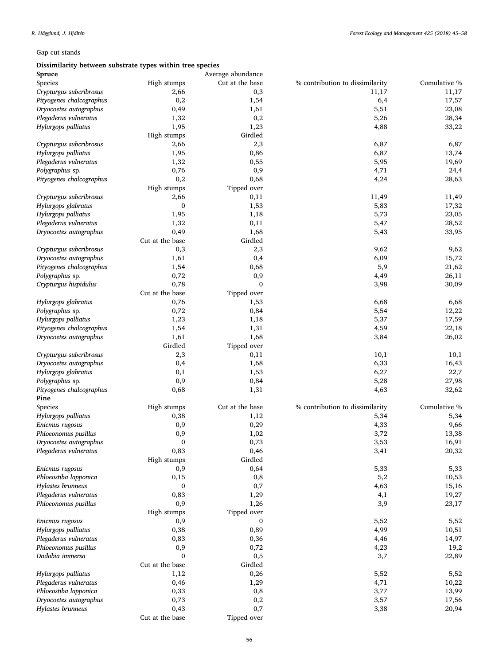## Gap cut stands

## Dissimilarity between substrate types within tree species

| Spruce                   |                 | Average abundance |                                 |              |
|--------------------------|-----------------|-------------------|---------------------------------|--------------|
| Species                  | High stumps     | Cut at the base   | % contribution to dissimilarity | Cumulative % |
| Crypturgus subcribrosus  | 2,66            | 0,3               | 11,17                           | 11,17        |
| Pityogenes chalcographus | $_{0,2}$        | 1,54              | 6,4                             | 17,57        |
| Dryocoetes autographus   | 0,49            | 1,61              | 5,51                            | 23,08        |
| Plegaderus vulneratus    | 1,32            | 0,2               | 5,26                            | 28,34        |
| Hylurgops palliatus      | 1,95            | 1,23              | 4,88                            | 33,22        |
|                          | High stumps     | Girdled           |                                 |              |
| Crypturgus subcribrosus  | 2,66            | 2,3               | 6,87                            | 6,87         |
| Hylurgops palliatus      | 1,95            | 0,86              | 6,87                            | 13,74        |
| Plegaderus vulneratus    | 1,32            | 0,55              | 5,95                            | 19,69        |
| Polygraphus sp.          | 0,76            | 0,9               | 4,71                            | 24,4         |
| Pityogenes chalcographus | $_{0,2}$        | 0,68              | 4,24                            | 28,63        |
|                          | High stumps     | Tipped over       |                                 |              |
| Crypturgus subcribrosus  | 2,66            | 0,11              | 11,49                           | 11,49        |
| Hylurgops glabratus      | $\bf{0}$        | 1,53              | 5,83                            | 17,32        |
| Hylurgops palliatus      | 1,95            | 1,18              | 5,73                            | 23,05        |
| Plegaderus vulneratus    | 1,32            | 0,11              | 5,47                            | 28,52        |
| Dryocoetes autographus   | 0,49            | 1,68              | 5,43                            | 33,95        |
|                          | Cut at the base | Girdled           |                                 |              |
| Crypturgus subcribrosus  | 0,3             | 2,3               | 9,62                            | 9,62         |
|                          |                 |                   |                                 |              |
| Dryocoetes autographus   | 1,61            | 0,4               | 6,09                            | 15,72        |
| Pityogenes chalcographus | 1,54            | 0,68              | 5,9                             | 21,62        |
| Polygraphus sp.          | 0,72            | 0,9               | 4,49                            | 26,11        |
| Crypturgus hispidulus    | 0,78            | $\mathbf{0}$      | 3,98                            | 30,09        |
|                          | Cut at the base | Tipped over       |                                 |              |
| Hylurgops glabratus      | 0,76            | 1,53              | 6,68                            | 6,68         |
| Polygraphus sp.          | 0,72            | 0,84              | 5,54                            | 12,22        |
| Hylurgops palliatus      | 1,23            | 1,18              | 5,37                            | 17,59        |
| Pityogenes chalcographus | 1,54            | 1,31              | 4,59                            | 22,18        |
| Dryocoetes autographus   | 1,61            | 1,68              | 3,84                            | 26,02        |
|                          | Girdled         | Tipped over       |                                 |              |
| Crypturgus subcribrosus  | 2,3             | 0,11              | 10,1                            | 10,1         |
| Dryocoetes autographus   | 0,4             | 1,68              | 6,33                            | 16,43        |
| Hylurgops glabratus      | 0,1             | 1,53              | 6,27                            | 22,7         |
| Polygraphus sp.          | 0,9             | 0,84              | 5,28                            | 27,98        |
| Pityogenes chalcographus | 0,68            | 1,31              | 4,63                            | 32,62        |
| Pine                     |                 |                   |                                 |              |
| Species                  | High stumps     | Cut at the base   | % contribution to dissimilarity | Cumulative % |
| Hylurgops palliatus      | 0,38            | 1,12              | 5,34                            | 5,34         |
| Enicmus rugosus          | 0,9             | 0,29              | 4,33                            | 9,66         |
| Phloeonomus pusillus     | 0,9             | 1,02              | 3,72                            | 13,38        |
| Dryocoetes autographus   | $\mathbf{0}$    | 0,73              | 3,53                            | 16,91        |
| Plegaderus vulneratus    | 0,83            | 0,46              | 3,41                            | 20,32        |
|                          | High stumps     | Girdled           |                                 |              |
| Enicmus rugosus          | 0,9             | 0,64              | 5,33                            | 5,33         |
| Phloeostiba lapponica    | 0,15            | 0,8               | 5,2                             | 10,53        |
| Hylastes brunneus        | 0               | 0,7               | 4,63                            | 15,16        |
| Plegaderus vulneratus    | 0,83            | 1,29              | 4,1                             | 19,27        |
| Phloeonomus pusillus     | 0,9             | 1,26              | 3,9                             | 23,17        |
|                          | High stumps     | Tipped over       |                                 |              |
| Enicmus rugosus          | 0,9             | $\bf{0}$          | 5,52                            | 5,52         |
| Hylurgops palliatus      | 0,38            | 0,89              | 4,99                            | 10,51        |
| Plegaderus vulneratus    | 0,83            | 0,36              | 4,46                            | 14,97        |
| Phloeonomus pusillus     | 0,9             | 0,72              | 4,23                            | 19,2         |
| Dadobia immersa          | $\mathbf{0}$    | 0,5               | 3,7                             | 22,89        |
|                          | Cut at the base | Girdled           |                                 |              |
|                          |                 |                   |                                 |              |
| Hylurgops palliatus      | 1,12            | 0,26              | 5,52                            | 5,52         |
| Plegaderus vulneratus    | 0,46            | 1,29              | 4,71                            | 10,22        |
| Phloeostiba lapponica    | 0,33            | 0,8               | 3,77                            | 13,99        |
| Dryocoetes autographus   | 0,73            | 0,2               | 3,57                            | 17,56        |
| Hylastes brunneus        | 0,43            | 0,7               | 3,38                            | 20,94        |
|                          | Cut at the base | Tipped over       |                                 |              |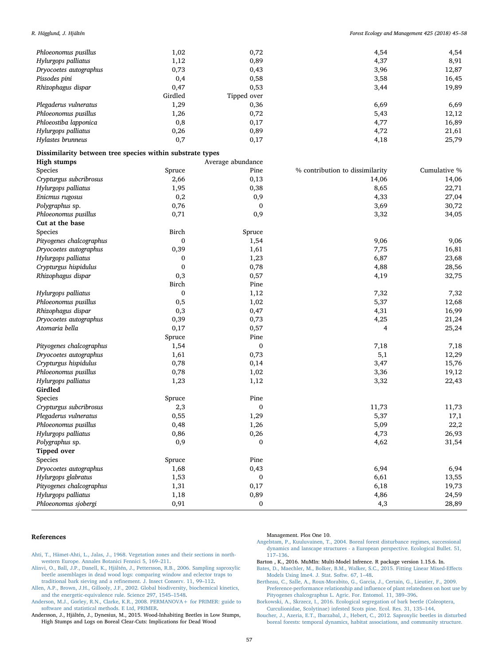| Phloeonomus pusillus                                      | 1,02             | 0,72              | 4,54                            | 4,54         |
|-----------------------------------------------------------|------------------|-------------------|---------------------------------|--------------|
| Hylurgops palliatus                                       | 1,12             | 0,89              | 4,37                            | 8,91         |
| Dryocoetes autographus                                    | 0,73             | 0,43              | 3,96                            | 12,87        |
| Pissodes pini                                             | 0,4              | 0,58              | 3,58                            | 16,45        |
| Rhizophagus dispar                                        | 0,47             | 0,53              | 3,44                            | 19,89        |
|                                                           | Girdled          | Tipped over       |                                 |              |
| Plegaderus vulneratus                                     | 1,29             | 0,36              | 6,69                            | 6,69         |
| Phloeonomus pusillus                                      | 1,26             | 0,72              | 5,43                            | 12,12        |
| Phloeostiba lapponica                                     | 0,8              | 0,17              | 4,77                            | 16,89        |
| Hylurgops palliatus                                       | 0,26             | 0,89              | 4,72                            | 21,61        |
| Hylastes brunneus                                         | 0,7              | 0,17              | 4,18                            | 25,79        |
| Dissimilarity between tree species within substrate types |                  |                   |                                 |              |
| <b>High stumps</b>                                        |                  | Average abundance |                                 |              |
| Species                                                   | Spruce           | Pine              | % contribution to dissimilarity | Cumulative % |
| Crypturgus subcribrosus                                   | 2,66             | 0,13              | 14,06                           | 14,06        |
| Hylurgops palliatus                                       | 1,95             | 0,38              | 8,65                            | 22,71        |
| Enicmus rugosus                                           | 0,2              | 0,9               | 4,33                            | 27,04        |
| Polygraphus sp.                                           | 0,76             | $\bf{0}$          | 3,69                            | 30,72        |
| Phloeonomus pusillus                                      | 0,71             | 0,9               | 3,32                            | 34,05        |
| Cut at the base                                           |                  |                   |                                 |              |
|                                                           |                  |                   |                                 |              |
| Species                                                   | Birch            | Spruce            |                                 |              |
| Pityogenes chalcographus                                  | $\mathbf{0}$     | 1,54              | 9,06                            | 9,06         |
| Dryocoetes autographus                                    | 0,39             | 1,61              | 7,75                            | 16,81        |
| Hylurgops palliatus                                       | 0                | 1,23              | 6,87                            | 23,68        |
| Crypturgus hispidulus                                     | $\boldsymbol{0}$ | 0,78              | 4,88                            | 28,56        |
| Rhizophagus dispar                                        | 0,3              | 0,57              | 4,19                            | 32,75        |
|                                                           | <b>Birch</b>     | Pine              |                                 |              |
| Hylurgops palliatus                                       | $\bf{0}$         | 1,12              | 7,32                            | 7,32         |
| Phloeonomus pusillus                                      | 0,5              | 1,02              | 5,37                            | 12,68        |
| Rhizophagus dispar                                        | 0,3              | 0,47              | 4,31                            | 16,99        |
| Dryocoetes autographus                                    | 0,39             | 0,73              | 4,25                            | 21,24        |
| Atomaria bella                                            | 0,17             | 0,57              | $\overline{4}$                  | 25,24        |
|                                                           | Spruce           | Pine              |                                 |              |
| Pityogenes chalcographus                                  | 1,54             | $\boldsymbol{0}$  | 7,18                            | 7,18         |
| Dryocoetes autographus                                    | 1,61             | 0,73              | 5,1                             | 12,29        |
| Crypturgus hispidulus                                     | 0,78             | 0,14              | 3,47                            | 15,76        |
| Phloeonomus pusillus                                      | 0,78             | 1,02              | 3,36                            | 19,12        |
| Hylurgops palliatus                                       | 1,23             | 1,12              | 3,32                            | 22,43        |
| Girdled                                                   |                  |                   |                                 |              |
| Species                                                   | Spruce           | Pine              |                                 |              |
| Crypturgus subcribrosus                                   | 2,3              | $\boldsymbol{0}$  | 11,73                           | 11,73        |
| Plegaderus vulneratus                                     | 0,55             | 1,29              | 5,37                            | 17,1         |
| Phloeonomus pusillus                                      | 0,48             | 1,26              | 5,09                            | 22,2         |
| Hylurgops palliatus                                       | 0,86             | 0,26              | 4,73                            | 26,93        |
| Polygraphus sp.                                           | 0,9              | $\bf{0}$          | 4,62                            | 31,54        |
| <b>Tipped over</b>                                        |                  |                   |                                 |              |
| Species                                                   | Spruce           | Pine              |                                 |              |
| Dryocoetes autographus                                    | 1,68             | 0,43              | 6,94                            | 6,94         |
| Hylurgops glabratus                                       | 1,53             | $\boldsymbol{0}$  | 6,61                            | 13,55        |
| Pityogenes chalcographus                                  |                  | 0,17              | 6,18                            | 19,73        |
|                                                           | 1,31<br>1,18     |                   |                                 |              |
| Hylurgops palliatus                                       |                  | 0,89              | 4,86                            | 24,59        |
| Phloeonomus sjobergi                                      | 0,91             | $\boldsymbol{0}$  | 4,3                             | 28,89        |

#### References

<span id="page-12-0"></span>[Ahti, T., Hämet-Ahti, L., Jalas, J., 1968. Vegetation zones and their sections in north](http://refhub.elsevier.com/S0378-1127(18)30300-1/h0005)[western Europe. Annales Botanici Fennici 5, 169](http://refhub.elsevier.com/S0378-1127(18)30300-1/h0005)–211.

[Alinvi, O., Ball, J.P., Danell, K., Hjältén, J., Pettersson, R.B., 2006. Sampling saproxylic](http://refhub.elsevier.com/S0378-1127(18)30300-1/h0010) [beetle assemblages in dead wood logs: comparing window and eclector traps to](http://refhub.elsevier.com/S0378-1127(18)30300-1/h0010) traditional bark sieving and a refi[nement. J. Insect Conserv. 11, 99](http://refhub.elsevier.com/S0378-1127(18)30300-1/h0010)–112.

<span id="page-12-5"></span>[Allen, A.P., Brown, J.H., Gillooly, J.F., 2002. Global biodiversity, biochemical kinetics,](http://refhub.elsevier.com/S0378-1127(18)30300-1/h0015) [and the energetic-equivalence rule. Science 297, 1545](http://refhub.elsevier.com/S0378-1127(18)30300-1/h0015)–1548.

<span id="page-12-4"></span>[Anderson, M.J., Gorley, R.N., Clarke, K.R., 2008. PERMANOVA+ for PRIMER: guide to](http://refhub.elsevier.com/S0378-1127(18)30300-1/h0020) [software and statistical methods. E Ltd, PRIMER](http://refhub.elsevier.com/S0378-1127(18)30300-1/h0020).

<span id="page-12-1"></span>Andersson, J., Hjältén, J., Dynesius, M., 2015. Wood-Inhabiting Beetles in Low Stumps, High Stumps and Logs on Boreal Clear-Cuts: Implications for Dead Wood

Management. Plos One 10.

[Angelstam, P., Kuuluvainen, T., 2004. Boreal forest disturbance regimes, successional](http://refhub.elsevier.com/S0378-1127(18)30300-1/h0030) [dynamics and lanscape structures - a European perspective. Ecological Bullet. 51,](http://refhub.elsevier.com/S0378-1127(18)30300-1/h0030) 117–[136](http://refhub.elsevier.com/S0378-1127(18)30300-1/h0030).

<span id="page-12-3"></span>

<span id="page-12-2"></span>Barton , K., 2016. MuMIn: Multi-Model Infrence. R package version 1.15.6. In. [Bates, D., Maechler, M., Bolker, B.M., Walker, S.C., 2015. Fitting Linear Mixed-E](http://refhub.elsevier.com/S0378-1127(18)30300-1/h0040)ffects [Models Using lme4. J. Stat. Softw. 67, 1](http://refhub.elsevier.com/S0378-1127(18)30300-1/h0040)–48.

[Bertheau, C., Salle, A., Roux-Morabito, G., Garcia, J., Certain, G., Lieutier, F., 2009.](http://refhub.elsevier.com/S0378-1127(18)30300-1/h0045) [Preference-performance relationship and in](http://refhub.elsevier.com/S0378-1127(18)30300-1/h0045)fluence of plant relatedness on host use by [Pityogenes chalcographus L. Agric. For. Entomol. 11, 389](http://refhub.elsevier.com/S0378-1127(18)30300-1/h0045)–396.

[Borkowski, A., Skrzecz, I., 2016. Ecological segregation of bark beetle \(Coleoptera,](http://refhub.elsevier.com/S0378-1127(18)30300-1/h0050) [Curculionidae, Scolytinae\) infested Scots pine. Ecol. Res. 31, 135](http://refhub.elsevier.com/S0378-1127(18)30300-1/h0050)–144.

[Boucher, J., Azeria, E.T., Ibarzabal, J., Hebert, C., 2012. Saproxylic beetles in disturbed](http://refhub.elsevier.com/S0378-1127(18)30300-1/h0055) [boreal forests: temporal dynamics, habitat associations, and community structure.](http://refhub.elsevier.com/S0378-1127(18)30300-1/h0055)